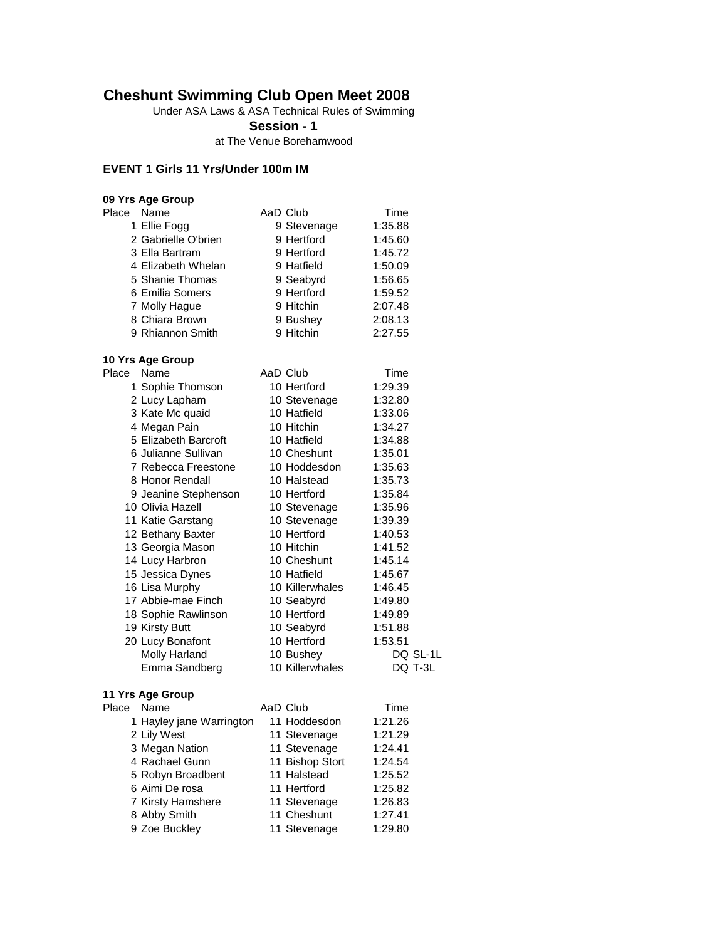### **Cheshunt Swimming Club Open Meet 2008**

Under ASA Laws & ASA Technical Rules of Swimming

**Session - 1**

at The Venue Borehamwood

### **EVENT 1 Girls 11 Yrs/Under 100m IM**

| 09 Yrs Age Group    |             |         |
|---------------------|-------------|---------|
| Name<br>Place       | AaD Club    | Time    |
| 1 Ellie Fogg        | 9 Stevenage | 1:35.88 |
| 2 Gabrielle O'brien | 9 Hertford  | 1:45.60 |
| 3 Ella Bartram      | 9 Hertford  | 1:45.72 |
| 4 Elizabeth Whelan  | 9 Hatfield  | 1:50.09 |
| 5 Shanie Thomas     | 9 Seabyrd   | 1:56.65 |
| 6 Emilia Somers     | 9 Hertford  | 1:59.52 |
| 7 Molly Hague       | 9 Hitchin   | 2:07.48 |
| 8 Chiara Brown      | 9 Bushey    | 2:08.13 |
| 9 Rhiannon Smith    | 9 Hitchin   | 2:27.55 |

### **10 Yrs Age Group**

| Place | Name                 | AaD Club        | Time     |
|-------|----------------------|-----------------|----------|
|       | 1 Sophie Thomson     | 10 Hertford     | 1:29.39  |
|       | 2 Lucy Lapham        | 10 Stevenage    | 1:32.80  |
|       | 3 Kate Mc quaid      | 10 Hatfield     | 1:33.06  |
|       | 4 Megan Pain         | 10 Hitchin      | 1:34.27  |
|       | 5 Elizabeth Barcroft | 10 Hatfield     | 1:34.88  |
|       | 6 Julianne Sullivan  | 10 Cheshunt     | 1:35.01  |
|       | 7 Rebecca Freestone  | 10 Hoddesdon    | 1:35.63  |
|       | 8 Honor Rendall      | 10 Halstead     | 1:35.73  |
|       | 9 Jeanine Stephenson | 10 Hertford     | 1:35.84  |
|       | 10 Olivia Hazell     | 10 Stevenage    | 1:35.96  |
|       | 11 Katie Garstang    | 10 Stevenage    | 1:39.39  |
|       | 12 Bethany Baxter    | 10 Hertford     | 1:40.53  |
|       | 13 Georgia Mason     | 10 Hitchin      | 1:41.52  |
|       | 14 Lucy Harbron      | 10 Cheshunt     | 1:45.14  |
|       | 15 Jessica Dynes     | 10 Hatfield     | 1:45.67  |
|       | 16 Lisa Murphy       | 10 Killerwhales | 1:46.45  |
|       | 17 Abbie-mae Finch   | 10 Seabyrd      | 1:49.80  |
|       | 18 Sophie Rawlinson  | 10 Hertford     | 1:49.89  |
|       | 19 Kirsty Butt       | 10 Seabyrd      | 1:51.88  |
|       | 20 Lucy Bonafont     | 10 Hertford     | 1:53.51  |
|       | Molly Harland        | 10 Bushey       | DQ SL-1L |
|       | Emma Sandberg        | 10 Killerwhales | DQ T-3L  |
|       |                      |                 |          |

| Place | Name                     | AaD Club        | Time    |
|-------|--------------------------|-----------------|---------|
|       | 1 Hayley jane Warrington | 11 Hoddesdon    | 1:21.26 |
|       | 2 Lily West              | 11 Stevenage    | 1:21.29 |
|       | 3 Megan Nation           | 11 Stevenage    | 1:24.41 |
|       | 4 Rachael Gunn           | 11 Bishop Stort | 1:24.54 |
|       | 5 Robyn Broadbent        | 11 Halstead     | 1:25.52 |
|       | 6 Aimi De rosa           | 11 Hertford     | 1:25.82 |
|       | 7 Kirsty Hamshere        | 11 Stevenage    | 1:26.83 |
|       | 8 Abby Smith             | 11 Cheshunt     | 1:27.41 |
|       | 9 Zoe Buckley            | 11 Stevenage    | 1:29.80 |
|       |                          |                 |         |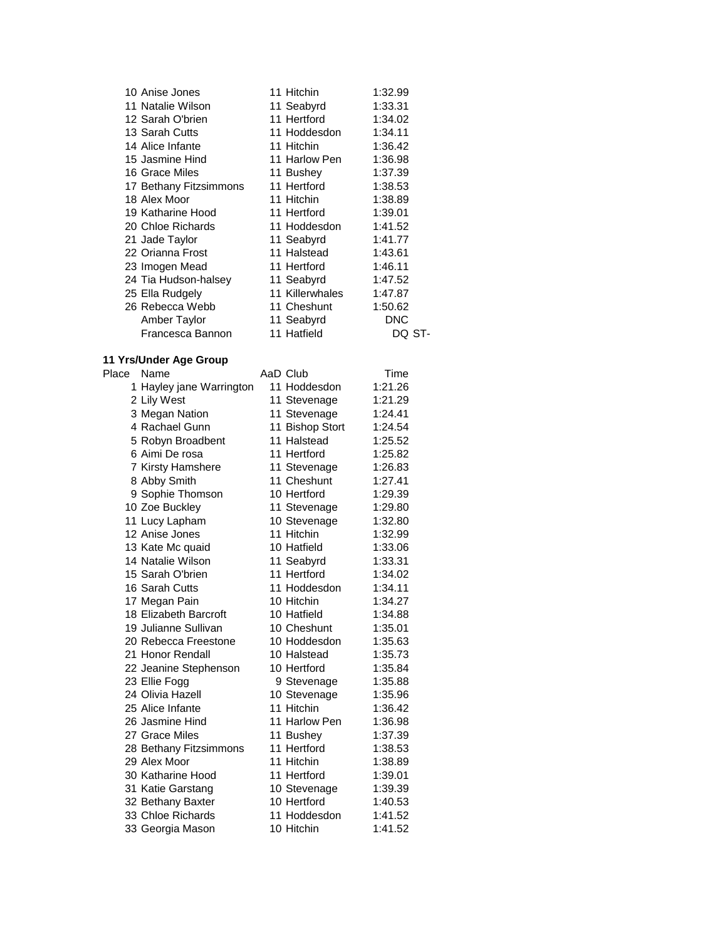| 10 Anise Jones         | 11 Hitchin      | 1:32.99 |
|------------------------|-----------------|---------|
| 11 Natalie Wilson      | 11 Seabyrd      | 1:33.31 |
| 12 Sarah O'brien       | 11 Hertford     | 1:34.02 |
| 13 Sarah Cutts         | 11 Hoddesdon    | 1:34.11 |
| 14 Alice Infante       | 11 Hitchin      | 1:36.42 |
| 15 Jasmine Hind        | 11 Harlow Pen   | 1:36.98 |
| 16 Grace Miles         | 11 Bushey       | 1:37.39 |
| 17 Bethany Fitzsimmons | 11 Hertford     | 1:38.53 |
| 18 Alex Moor           | 11 Hitchin      | 1:38.89 |
| 19 Katharine Hood      | 11 Hertford     | 1:39.01 |
| 20 Chloe Richards      | 11 Hoddesdon    | 1:41.52 |
| 21 Jade Taylor         | 11 Seabyrd      | 1:41.77 |
| 22 Orianna Frost       | 11 Halstead     | 1:43.61 |
| 23 Imogen Mead         | 11 Hertford     | 1:46.11 |
| 24 Tia Hudson-halsey   | 11 Seabyrd      | 1:47.52 |
| 25 Ella Rudgely        | 11 Killerwhales | 1:47.87 |
| 26 Rebecca Webb        | 11 Cheshunt     | 1:50.62 |
| Amber Taylor           | 11 Seabyrd      | DNC     |
| Francesca Bannon       | 11 Hatfield     | DQ ST-  |

### **11 Yrs/Under Age Group**

| Place | Name                     | AaD Club        | Time    |
|-------|--------------------------|-----------------|---------|
|       | 1 Hayley jane Warrington | 11 Hoddesdon    | 1:21.26 |
|       | 2 Lily West              | 11 Stevenage    | 1:21.29 |
|       | 3 Megan Nation           | 11 Stevenage    | 1:24.41 |
|       | 4 Rachael Gunn           | 11 Bishop Stort | 1:24.54 |
|       | 5 Robyn Broadbent        | 11 Halstead     | 1:25.52 |
|       | 6 Aimi De rosa           | 11 Hertford     | 1:25.82 |
|       | 7 Kirsty Hamshere        | 11 Stevenage    | 1:26.83 |
|       | 8 Abby Smith             | 11 Cheshunt     | 1:27.41 |
|       | 9 Sophie Thomson         | 10 Hertford     | 1:29.39 |
|       | 10 Zoe Buckley           | 11 Stevenage    | 1:29.80 |
|       | 11 Lucy Lapham           | 10 Stevenage    | 1:32.80 |
|       | 12 Anise Jones           | 11 Hitchin      | 1:32.99 |
|       | 13 Kate Mc quaid         | 10 Hatfield     | 1:33.06 |
|       | 14 Natalie Wilson        | 11 Seabyrd      | 1:33.31 |
|       | 15 Sarah O'brien         | 11 Hertford     | 1:34.02 |
|       | 16 Sarah Cutts           | 11 Hoddesdon    | 1:34.11 |
|       | 17 Megan Pain            | 10 Hitchin      | 1:34.27 |
|       | 18 Elizabeth Barcroft    | 10 Hatfield     | 1:34.88 |
|       | 19 Julianne Sullivan     | 10 Cheshunt     | 1:35.01 |
|       | 20 Rebecca Freestone     | 10 Hoddesdon    | 1:35.63 |
|       | 21 Honor Rendall         | 10 Halstead     | 1:35.73 |
|       | 22 Jeanine Stephenson    | 10 Hertford     | 1:35.84 |
|       | 23 Ellie Fogg            | 9 Stevenage     | 1:35.88 |
|       | 24 Olivia Hazell         | 10 Stevenage    | 1:35.96 |
|       | 25 Alice Infante         | 11 Hitchin      | 1:36.42 |
|       | 26 Jasmine Hind          | 11 Harlow Pen   | 1:36.98 |
|       | 27 Grace Miles           | 11 Bushey       | 1:37.39 |
|       | 28 Bethany Fitzsimmons   | 11 Hertford     | 1:38.53 |
|       | 29 Alex Moor             | 11 Hitchin      | 1:38.89 |
|       | 30 Katharine Hood        | 11 Hertford     | 1:39.01 |
|       | 31 Katie Garstang        | 10 Stevenage    | 1:39.39 |
|       | 32 Bethany Baxter        | 10 Hertford     | 1:40.53 |
|       | 33 Chloe Richards        | 11 Hoddesdon    | 1:41.52 |
|       | 33 Georgia Mason         | 10 Hitchin      | 1:41.52 |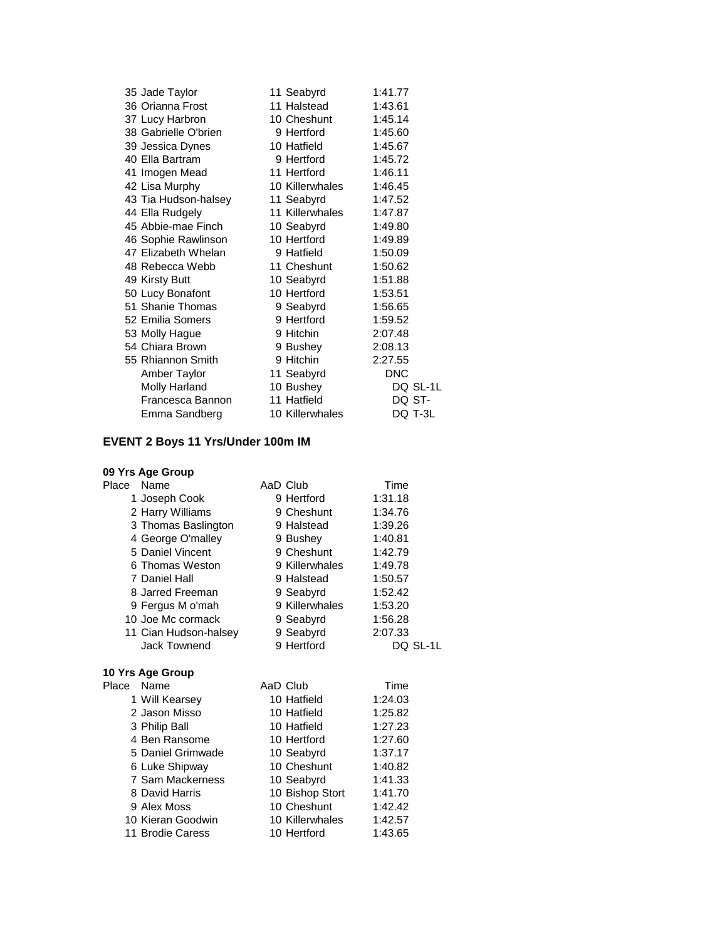| 35 Jade Taylor       | 11 Seabyrd      | 1:41.77  |
|----------------------|-----------------|----------|
| 36 Orianna Frost     | 11 Halstead     | 1:43.61  |
| 37 Lucy Harbron      | 10 Cheshunt     | 1:45.14  |
| 38 Gabrielle O'brien | 9 Hertford      | 1:45.60  |
| 39 Jessica Dynes     | 10 Hatfield     | 1:45.67  |
| 40 Ella Bartram      | 9 Hertford      | 1:45.72  |
| 41 Imogen Mead       | 11 Hertford     | 1:46.11  |
| 42 Lisa Murphy       | 10 Killerwhales | 1:46.45  |
| 43 Tia Hudson-halsey | 11 Seabyrd      | 1:47.52  |
| 44 Ella Rudgely      | 11 Killerwhales | 1:47.87  |
| 45 Abbie-mae Finch   | 10 Seabyrd      | 1:49.80  |
| 46 Sophie Rawlinson  | 10 Hertford     | 1:49.89  |
| 47 Elizabeth Whelan  | 9 Hatfield      | 1:50.09  |
| 48 Rebecca Webb      | 11 Cheshunt     | 1:50.62  |
| 49 Kirsty Butt       | 10 Seabyrd      | 1:51.88  |
| 50 Lucy Bonafont     | 10 Hertford     | 1:53.51  |
| 51 Shanie Thomas     | 9 Seabyrd       | 1:56.65  |
| 52 Emilia Somers     | 9 Hertford      | 1:59.52  |
| 53 Molly Hague       | 9 Hitchin       | 2:07.48  |
| 54 Chiara Brown      | 9 Bushey        | 2:08.13  |
| 55 Rhiannon Smith    | 9 Hitchin       | 2:27.55  |
| Amber Taylor         | 11 Seabyrd      | DNC      |
| Molly Harland        | 10 Bushey       | DQ SL-1L |
| Francesca Bannon     | 11 Hatfield     | DQ ST-   |
| Emma Sandberg        | 10 Killerwhales | DQ T-3L  |

## **EVENT 2 Boys 11 Yrs/Under 100m IM**

|       | 09 Yrs Age Group      |                |          |
|-------|-----------------------|----------------|----------|
| Place | Name                  | AaD Club       | Time     |
|       | 1 Joseph Cook         | 9 Hertford     | 1:31.18  |
|       | 2 Harry Williams      | 9 Cheshunt     | 1:34.76  |
|       | 3 Thomas Baslington   | 9 Halstead     | 1:39.26  |
|       | 4 George O'malley     | 9 Bushey       | 1:40.81  |
|       | 5 Daniel Vincent      | 9 Cheshunt     | 1:42.79  |
|       | 6 Thomas Weston       | 9 Killerwhales | 1:49.78  |
|       | 7 Daniel Hall         | 9 Halstead     | 1:50.57  |
|       | 8 Jarred Freeman      | 9 Seabyrd      | 1:52.42  |
|       | 9 Fergus M o'mah      | 9 Killerwhales | 1:53.20  |
|       | 10 Joe Mc cormack     | 9 Seabyrd      | 1:56.28  |
|       | 11 Cian Hudson-halsey | 9 Seabyrd      | 2:07.33  |
|       | Jack Townend          | 9 Hertford     | DQ SL-1L |

| Place | Name              | AaD Club        | Time    |  |
|-------|-------------------|-----------------|---------|--|
|       | 1 Will Kearsey    | 10 Hatfield     | 1:24.03 |  |
|       | 2 Jason Misso     | 10 Hatfield     | 1:25.82 |  |
|       | 3 Philip Ball     | 10 Hatfield     | 1:27.23 |  |
|       | 4 Ben Ransome     | 10 Hertford     | 1:27.60 |  |
|       | 5 Daniel Grimwade | 10 Seabyrd      | 1:37.17 |  |
|       | 6 Luke Shipway    | 10 Cheshunt     | 1:40.82 |  |
|       | 7 Sam Mackerness  | 10 Seabyrd      | 1:41.33 |  |
|       | 8 David Harris    | 10 Bishop Stort | 1:41.70 |  |
|       | 9 Alex Moss       | 10 Cheshunt     | 1:42.42 |  |
|       | 10 Kieran Goodwin | 10 Killerwhales | 1:42.57 |  |
|       | 11 Brodie Caress  | 10 Hertford     | 1:43.65 |  |
|       |                   |                 |         |  |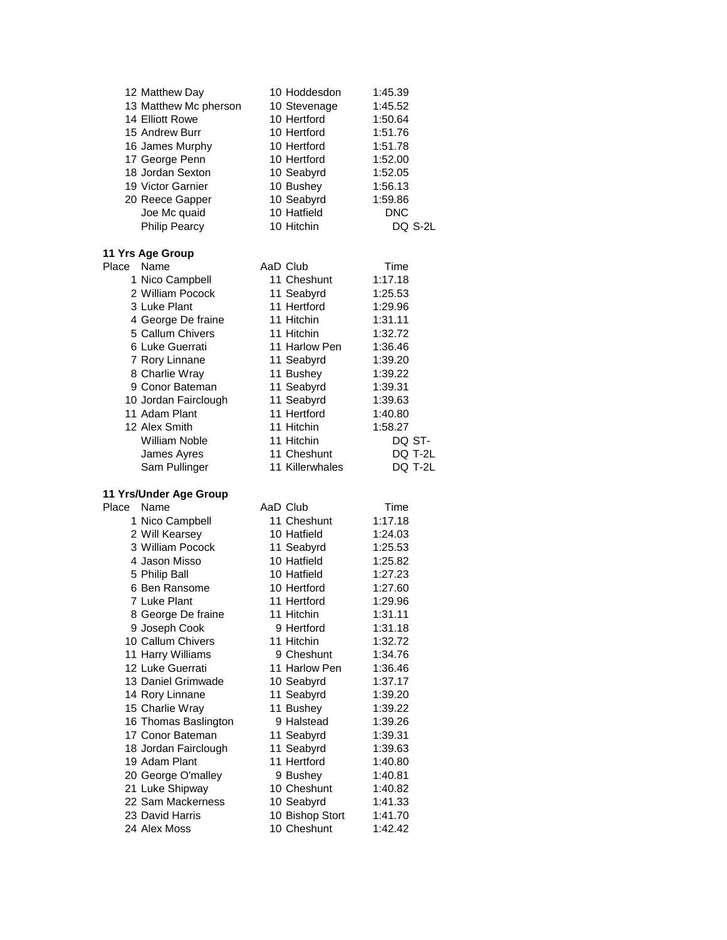|                                         | 10 Hoddesdon                  | 1:45.39            |
|-----------------------------------------|-------------------------------|--------------------|
| 13 Matthew Mc pherson                   | 10 Stevenage                  | 1:45.52            |
| 14 Elliott Rowe                         | 10 Hertford                   | 1:50.64            |
| 15 Andrew Burr                          | 10 Hertford                   | 1:51.76            |
| 16 James Murphy                         | 10 Hertford                   | 1:51.78            |
| 17 George Penn                          | 10 Hertford                   | 1:52.00            |
| 18 Jordan Sexton                        | 10 Seabyrd                    | 1:52.05            |
| 19 Victor Garnier                       | 10 Bushey                     | 1:56.13            |
| 20 Reece Gapper                         | 10 Seabyrd                    | 1:59.86            |
| Joe Mc quaid                            | 10 Hatfield                   | <b>DNC</b>         |
| <b>Philip Pearcy</b>                    | 10 Hitchin                    | DQ S-2L            |
| 11 Yrs Age Group                        |                               |                    |
| Name<br>Place                           | AaD Club                      | Time               |
| 1 Nico Campbell                         | 11 Cheshunt                   | 1:17.18            |
| 2 William Pocock                        | 11 Seabyrd                    | 1:25.53            |
| 3 Luke Plant                            | 11 Hertford                   | 1:29.96            |
| 4 George De fraine                      | 11 Hitchin                    | 1:31.11            |
| 5 Callum Chivers                        | 11 Hitchin                    | 1:32.72            |
| 6 Luke Guerrati                         | 11 Harlow Pen                 | 1:36.46            |
| 7 Rory Linnane                          | 11 Seabyrd                    | 1:39.20            |
| 8 Charlie Wray                          | 11 Bushey                     | 1:39.22            |
| 9 Conor Bateman                         | 11 Seabyrd                    | 1:39.31            |
|                                         | 11 Seabyrd                    |                    |
| 10 Jordan Fairclough<br>11 Adam Plant   | 11 Hertford                   | 1:39.63<br>1:40.80 |
| 12 Alex Smith                           | 11 Hitchin                    | 1:58.27            |
| <b>William Noble</b>                    |                               |                    |
|                                         | 11 Hitchin<br>11 Cheshunt     | DQ ST-             |
| James Ayres                             | 11 Killerwhales               | DQ T-2L            |
|                                         |                               | DQ T-2L            |
| Sam Pullinger                           |                               |                    |
| 11 Yrs/Under Age Group                  |                               |                    |
| Name<br>Place                           | AaD Club                      | Time               |
| 1 Nico Campbell                         | 11 Cheshunt                   | 1:17.18            |
| 2 Will Kearsey                          | 10 Hatfield                   | 1:24.03            |
| 3 William Pocock                        | 11 Seabyrd                    | 1:25.53            |
| 4 Jason Misso                           | 10 Hatfield                   | 1:25.82            |
| 5 Philip Ball                           | 10 Hatfield                   | 1:27.23            |
| 6 Ben Ransome                           | 10 Hertford                   | 1:27.60            |
| 7 Luke Plant                            | 11 Hertford                   | 1:29.96            |
| 8 George De fraine                      | 11 Hitchin                    | 1:31.11            |
| 9 Joseph Cook                           | 9 Hertford                    | 1:31.18            |
| 10 Callum Chivers                       | 11 Hitchin                    | 1:32.72            |
| 11 Harry Williams                       | 9 Cheshunt                    | 1:34.76            |
| 12 Luke Guerrati                        | 11 Harlow Pen                 | 1:36.46            |
| 13 Daniel Grimwade                      | 10 Seabyrd                    | 1:37.17            |
| 14 Rory Linnane                         | 11 Seabyrd                    | 1:39.20            |
|                                         |                               | 1:39.22            |
| 15 Charlie Wray<br>16 Thomas Baslington | 11 Bushey<br>9 Halstead       | 1:39.26            |
| 17 Conor Bateman                        | 11 Seabyrd                    | 1:39.31            |
| 18 Jordan Fairclough                    |                               | 1:39.63            |
| 19 Adam Plant                           | 11 Seabyrd<br>11 Hertford     | 1:40.80            |
|                                         |                               |                    |
| 20 George O'malley                      | 9 Bushey<br>10 Cheshunt       | 1:40.81<br>1:40.82 |
| 21 Luke Shipway<br>22 Sam Mackerness    |                               | 1:41.33            |
| 23 David Harris                         | 10 Seabyrd<br>10 Bishop Stort | 1:41.70            |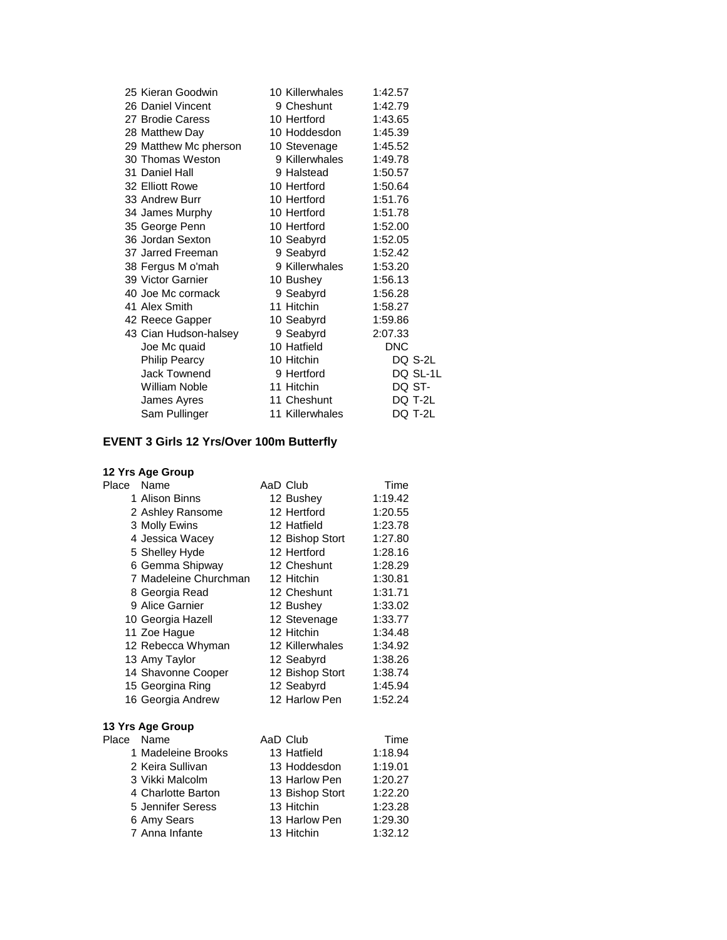| 25 Kieran Goodwin     | 10 Killerwhales | 1:42.57    |          |
|-----------------------|-----------------|------------|----------|
| 26 Daniel Vincent     | 9 Cheshunt      | 1:42.79    |          |
| 27 Brodie Caress      | 10 Hertford     | 1:43.65    |          |
| 28 Matthew Day        | 10 Hoddesdon    | 1:45.39    |          |
| 29 Matthew Mc pherson | 10 Stevenage    | 1:45.52    |          |
| 30 Thomas Weston      | 9 Killerwhales  | 1:49.78    |          |
| 31 Daniel Hall        | 9 Halstead      | 1:50.57    |          |
| 32 Elliott Rowe       | 10 Hertford     | 1:50.64    |          |
| 33 Andrew Burr        | 10 Hertford     | 1:51.76    |          |
| 34 James Murphy       | 10 Hertford     | 1:51.78    |          |
| 35 George Penn        | 10 Hertford     | 1:52.00    |          |
| 36 Jordan Sexton      | 10 Seabyrd      | 1:52.05    |          |
| 37 Jarred Freeman     | 9 Seabyrd       | 1:52.42    |          |
| 38 Fergus M o'mah     | 9 Killerwhales  | 1:53.20    |          |
| 39 Victor Garnier     | 10 Bushey       | 1:56.13    |          |
| 40 Joe Mc cormack     | 9 Seabyrd       | 1:56.28    |          |
| 41 Alex Smith         | 11 Hitchin      | 1:58.27    |          |
| 42 Reece Gapper       | 10 Seabyrd      | 1:59.86    |          |
| 43 Cian Hudson-halsey | 9 Seabyrd       | 2:07.33    |          |
| Joe Mc quaid          | 10 Hatfield     | <b>DNC</b> |          |
| <b>Philip Pearcy</b>  | 10 Hitchin      | DQ S-2L    |          |
| Jack Townend          | 9 Hertford      |            | DQ SL-1L |
| <b>William Noble</b>  | 11 Hitchin      | DQ ST-     |          |
| James Ayres           | 11 Cheshunt     | DQ T-2L    |          |
| Sam Pullinger         | 11 Killerwhales | DQ T-2L    |          |

## **EVENT 3 Girls 12 Yrs/Over 100m Butterfly**

| Place      | Name                  | AaD Club        | Time    |
|------------|-----------------------|-----------------|---------|
|            | 1 Alison Binns        | 12 Bushey       | 1:19.42 |
|            | 2 Ashley Ransome      | 12 Hertford     | 1:20.55 |
|            | 3 Molly Ewins         | 12 Hatfield     | 1:23.78 |
|            | 4 Jessica Wacey       | 12 Bishop Stort | 1:27.80 |
|            | 5 Shelley Hyde        | 12 Hertford     | 1:28.16 |
|            | 6 Gemma Shipway       | 12 Cheshunt     | 1:28.29 |
|            | 7 Madeleine Churchman | 12 Hitchin      | 1:30.81 |
|            | 8 Georgia Read        | 12 Cheshunt     | 1:31.71 |
|            | 9 Alice Garnier       | 12 Bushey       | 1:33.02 |
|            | 10 Georgia Hazell     | 12 Stevenage    | 1:33.77 |
|            | 11 Zoe Hague          | 12 Hitchin      | 1:34.48 |
|            | 12 Rebecca Whyman     | 12 Killerwhales | 1:34.92 |
|            | 13 Amy Taylor         | 12 Seabyrd      | 1:38.26 |
|            | 14 Shavonne Cooper    | 12 Bishop Stort | 1:38.74 |
|            | 15 Georgina Ring      | 12 Seabyrd      | 1:45.94 |
|            | 16 Georgia Andrew     | 12 Harlow Pen   | 1:52.24 |
|            | 13 Yrs Age Group      |                 |         |
| Place Name |                       | AaD Club        | Time    |
|            | 1 Madeleine Brooks    | 13 Hatfield     | 1:18.94 |
|            | 2 Keira Sullivan      | 13 Hoddesdon    | 1:19.01 |
|            | 3 Vikki Malcolm       | 13 Harlow Pen   | 1:20.27 |
|            | 4 Charlotte Barton    | 13 Bishop Stort | 1:22.20 |
|            | 5 Jennifer Seress     | 13 Hitchin      | 1:23.28 |
|            | 6 Amy Sears           | 13 Harlow Pen   | 1:29.30 |
|            | 7 Anna Infante        | 13 Hitchin      | 1:32.12 |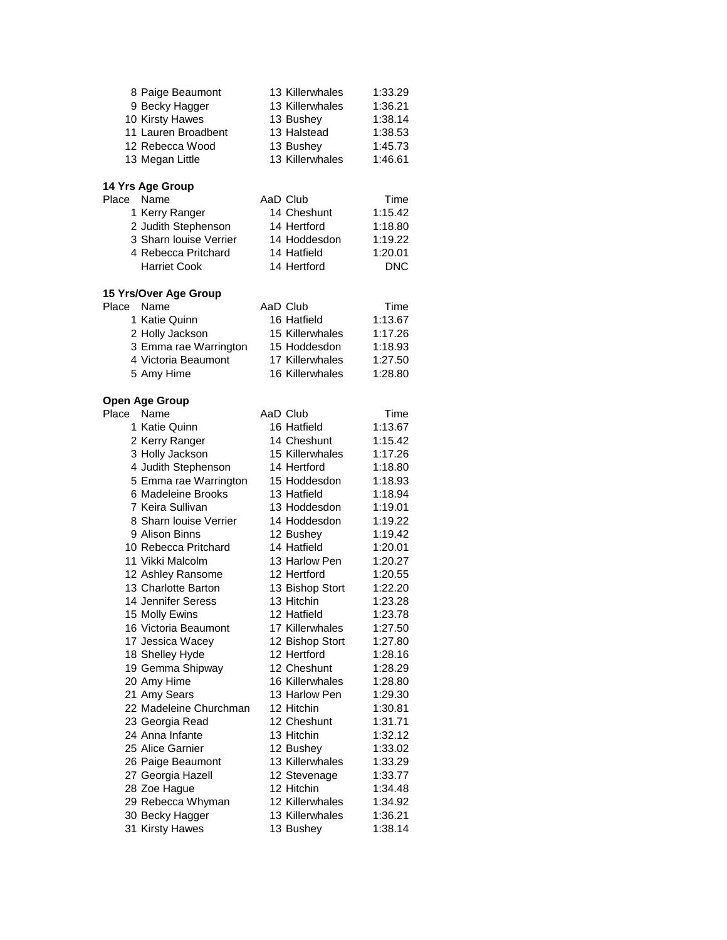|       | 8 Paige Beaumont       | 13 Killerwhales | 1:33.29            |
|-------|------------------------|-----------------|--------------------|
|       | 9 Becky Hagger         | 13 Killerwhales | 1:36.21            |
|       | 10 Kirsty Hawes        | 13 Bushey       | 1:38.14            |
|       | 11 Lauren Broadbent    | 13 Halstead     | 1:38.53            |
|       | 12 Rebecca Wood        | 13 Bushey       | 1:45.73            |
|       | 13 Megan Little        | 13 Killerwhales | 1:46.61            |
|       | 14 Yrs Age Group       |                 |                    |
| Place | Name                   | AaD Club        | Time               |
|       | 1 Kerry Ranger         | 14 Cheshunt     | 1:15.42            |
|       | 2 Judith Stephenson    | 14 Hertford     | 1:18.80            |
|       | 3 Sharn louise Verrier | 14 Hoddesdon    | 1:19.22            |
|       | 4 Rebecca Pritchard    | 14 Hatfield     | 1:20.01            |
|       | <b>Harriet Cook</b>    | 14 Hertford     | <b>DNC</b>         |
|       | 15 Yrs/Over Age Group  |                 |                    |
| Place | Name                   | AaD Club        | Time               |
|       | 1 Katie Quinn          | 16 Hatfield     | 1:13.67            |
|       | 2 Holly Jackson        | 15 Killerwhales | 1:17.26            |
|       | 3 Emma rae Warrington  | 15 Hoddesdon    | 1:18.93            |
|       | 4 Victoria Beaumont    | 17 Killerwhales | 1:27.50            |
|       | 5 Amy Hime             | 16 Killerwhales | 1:28.80            |
|       | <b>Open Age Group</b>  |                 |                    |
| Place | Name                   | AaD Club        | Time               |
|       | 1 Katie Quinn          | 16 Hatfield     | 1:13.67            |
|       | 2 Kerry Ranger         | 14 Cheshunt     | 1:15.42            |
|       | 3 Holly Jackson        | 15 Killerwhales | 1:17.26            |
|       | 4 Judith Stephenson    | 14 Hertford     | 1:18.80            |
|       | 5 Emma rae Warrington  | 15 Hoddesdon    | 1:18.93            |
|       | 6 Madeleine Brooks     | 13 Hatfield     | 1:18.94            |
|       | 7 Keira Sullivan       | 13 Hoddesdon    | 1:19.01            |
|       | 8 Sharn louise Verrier | 14 Hoddesdon    | 1:19.22            |
|       | 9 Alison Binns         | 12 Bushey       | 1:19.42            |
|       | 10 Rebecca Pritchard   | 14 Hatfield     | 1:20.01            |
|       | 11 Vikki Malcolm       | 13 Harlow Pen   | 1:20.27            |
|       | 12 Ashley Ransome      | 12 Hertford     | 1:20.55            |
|       | 13 Charlotte Barton    | 13 Bishop Stort | 1:22.20            |
|       | 14 Jennifer Seress     | 13 Hitchin      | 1:23.28            |
|       | 15 Molly Ewins         | 12 Hatfield     | 1:23.78            |
|       | 16 Victoria Beaumont   | 17 Killerwhales | 1:27.50            |
|       | 17 Jessica Wacey       | 12 Bishop Stort | 1:27.80            |
|       | 18 Shelley Hyde        | 12 Hertford     | 1:28.16            |
|       | 19 Gemma Shipway       | 12 Cheshunt     | 1:28.29            |
|       | 20 Amy Hime            | 16 Killerwhales | 1:28.80            |
|       | 21 Amy Sears           | 13 Harlow Pen   | 1:29.30            |
|       | 22 Madeleine Churchman | 12 Hitchin      | 1:30.81            |
|       | 23 Georgia Read        | 12 Cheshunt     | 1:31.71            |
|       | 24 Anna Infante        | 13 Hitchin      | 1:32.12            |
|       | 25 Alice Garnier       | 12 Bushey       | 1:33.02            |
|       | 26 Paige Beaumont      | 13 Killerwhales | 1:33.29            |
|       | 27 Georgia Hazell      | 12 Stevenage    | 1:33.77            |
|       | 28 Zoe Hague           | 12 Hitchin      | 1:34.48            |
|       | 29 Rebecca Whyman      | 12 Killerwhales | 1:34.92            |
|       | 30 Becky Hagger        | 13 Killerwhales |                    |
|       | 31 Kirsty Hawes        | 13 Bushey       | 1:36.21<br>1:38.14 |
|       |                        |                 |                    |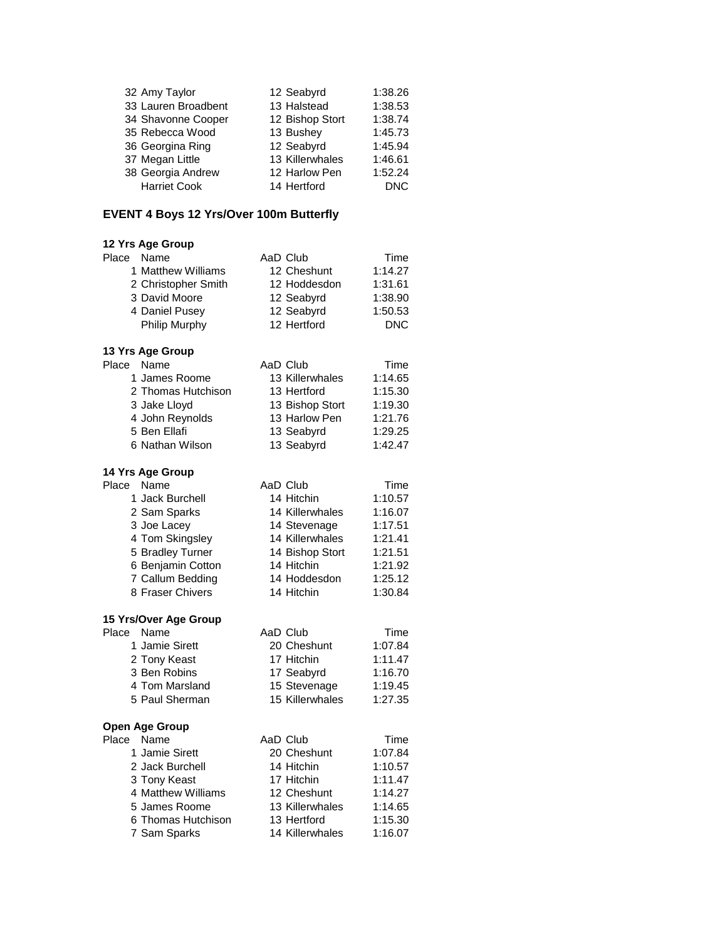| 32 Amy Taylor       | 12 Seabyrd      | 1:38.26 |
|---------------------|-----------------|---------|
| 33 Lauren Broadbent | 13 Halstead     | 1:38.53 |
| 34 Shavonne Cooper  | 12 Bishop Stort | 1:38.74 |
| 35 Rebecca Wood     | 13 Bushey       | 1:45.73 |
| 36 Georgina Ring    | 12 Seabyrd      | 1:45.94 |
| 37 Megan Little     | 13 Killerwhales | 1:46.61 |
| 38 Georgia Andrew   | 12 Harlow Pen   | 1:52.24 |
| <b>Harriet Cook</b> | 14 Hertford     | DNC     |

## **EVENT 4 Boys 12 Yrs/Over 100m Butterfly**

| 12 Yrs Age Group      |                 |            |
|-----------------------|-----------------|------------|
| Place Name            | AaD Club        | Time       |
| 1 Matthew Williams    | 12 Cheshunt     | 1:14.27    |
| 2 Christopher Smith   | 12 Hoddesdon    | 1:31.61    |
| 3 David Moore         | 12 Seabyrd      | 1:38.90    |
| 4 Daniel Pusey        | 12 Seabyrd      | 1:50.53    |
| Philip Murphy         | 12 Hertford     | <b>DNC</b> |
| 13 Yrs Age Group      |                 |            |
| Name<br>Place         | AaD Club        | Time       |
| 1 James Roome         | 13 Killerwhales | 1:14.65    |
| 2 Thomas Hutchison    | 13 Hertford     | 1:15.30    |
| 3 Jake Lloyd          | 13 Bishop Stort | 1:19.30    |
| 4 John Reynolds       | 13 Harlow Pen   | 1:21.76    |
| 5 Ben Ellafi          | 13 Seabyrd      | 1:29.25    |
| 6 Nathan Wilson       | 13 Seabyrd      | 1:42.47    |
| 14 Yrs Age Group      |                 |            |
| Name<br>Place         | AaD Club        | Time       |
| 1 Jack Burchell       | 14 Hitchin      | 1:10.57    |
| 2 Sam Sparks          | 14 Killerwhales | 1:16.07    |
| 3 Joe Lacey           | 14 Stevenage    | 1:17.51    |
| 4 Tom Skingsley       | 14 Killerwhales | 1:21.41    |
| 5 Bradley Turner      | 14 Bishop Stort | 1:21.51    |
| 6 Benjamin Cotton     | 14 Hitchin      | 1:21.92    |
| 7 Callum Bedding      | 14 Hoddesdon    | 1:25.12    |
| 8 Fraser Chivers      | 14 Hitchin      | 1:30.84    |
| 15 Yrs/Over Age Group |                 |            |
| Name<br>Place         | AaD Club        | Time       |
| 1 Jamie Sirett        | 20 Cheshunt     | 1:07.84    |
| 2 Tony Keast          | 17 Hitchin      | 1:11.47    |
| 3 Ben Robins          | 17 Seabyrd      | 1:16.70    |
| 4 Tom Marsland        | 15 Stevenage    | 1:19.45    |
| 5 Paul Sherman        | 15 Killerwhales | 1:27.35    |
| Open Age Group        |                 |            |
| Place<br>Name         | AaD Club        | Time       |
| 1 Jamie Sirett        | 20 Cheshunt     | 1:07.84    |
| 2 Jack Burchell       | 14 Hitchin      | 1:10.57    |
| 3 Tony Keast          | 17 Hitchin      | 1:11.47    |
| 4 Matthew Williams    | 12 Cheshunt     | 1:14.27    |
| 5 James Roome         | 13 Killerwhales | 1:14.65    |
| 6 Thomas Hutchison    | 13 Hertford     | 1:15.30    |
| 7 Sam Sparks          | 14 Killerwhales | 1:16.07    |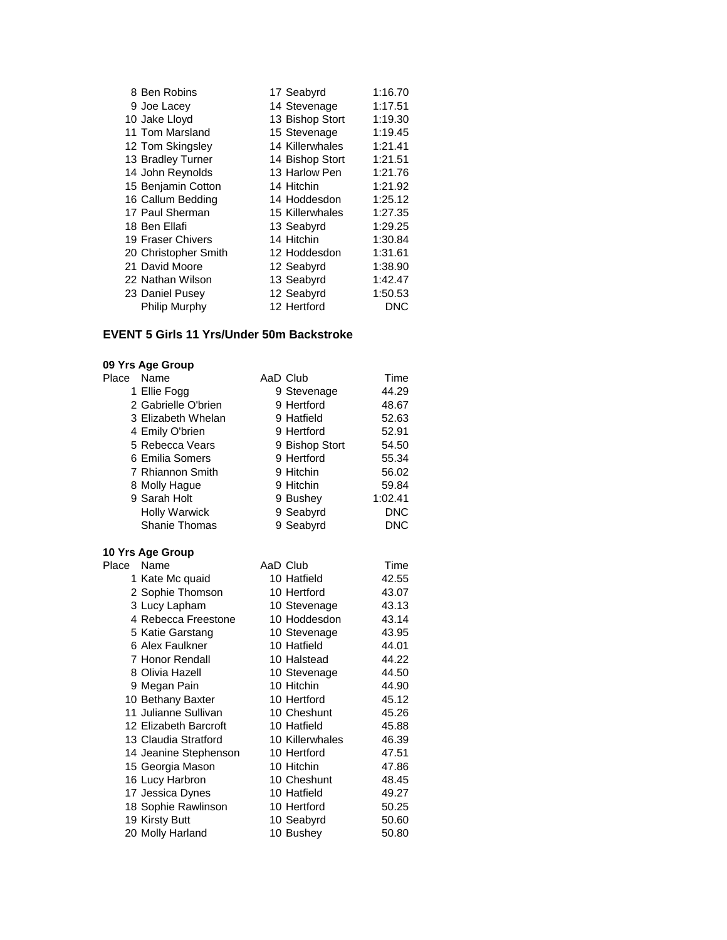| 8 Ben Robins         | 17 Seabyrd      | 1:16.70 |
|----------------------|-----------------|---------|
| 9 Joe Lacey          | 14 Stevenage    | 1:17.51 |
| 10 Jake Lloyd        | 13 Bishop Stort | 1:19.30 |
| 11 Tom Marsland      | 15 Stevenage    | 1:19.45 |
| 12 Tom Skingsley     | 14 Killerwhales | 1:21.41 |
| 13 Bradley Turner    | 14 Bishop Stort | 1:21.51 |
| 14 John Reynolds     | 13 Harlow Pen   | 1:21.76 |
| 15 Benjamin Cotton   | 14 Hitchin      | 1:21.92 |
| 16 Callum Bedding    | 14 Hoddesdon    | 1:25.12 |
| 17 Paul Sherman      | 15 Killerwhales | 1:27.35 |
| 18 Ben Ellafi        | 13 Seabyrd      | 1:29.25 |
| 19 Fraser Chivers    | 14 Hitchin      | 1:30.84 |
| 20 Christopher Smith | 12 Hoddesdon    | 1:31.61 |
| 21 David Moore       | 12 Seabyrd      | 1:38.90 |
| 22 Nathan Wilson     | 13 Seabyrd      | 1:42.47 |
| 23 Daniel Pusey      | 12 Seabyrd      | 1:50.53 |
| Philip Murphy        | 12 Hertford     | DNC     |

### **EVENT 5 Girls 11 Yrs/Under 50m Backstroke**

# **09 Yrs Age Group**

| Name                 |  | Time                                                                                                                                                              |
|----------------------|--|-------------------------------------------------------------------------------------------------------------------------------------------------------------------|
| 1 Ellie Fogg         |  | 44.29                                                                                                                                                             |
| 2 Gabrielle O'brien  |  | 48.67                                                                                                                                                             |
| 3 Elizabeth Whelan   |  | 52.63                                                                                                                                                             |
| 4 Emily O'brien      |  | 52.91                                                                                                                                                             |
| 5 Rebecca Vears      |  | 54.50                                                                                                                                                             |
| 6 Emilia Somers      |  | 55.34                                                                                                                                                             |
| 7 Rhiannon Smith     |  | 56.02                                                                                                                                                             |
| 8 Molly Hague        |  | 59.84                                                                                                                                                             |
| 9 Sarah Holt         |  | 1:02.41                                                                                                                                                           |
| <b>Holly Warwick</b> |  | DNC                                                                                                                                                               |
| <b>Shanie Thomas</b> |  | DNC                                                                                                                                                               |
|                      |  | AaD Club<br>9 Stevenage<br>9 Hertford<br>9 Hatfield<br>9 Hertford<br>9 Bishop Stort<br>9 Hertford<br>9 Hitchin<br>9 Hitchin<br>9 Bushey<br>9 Seabyrd<br>9 Seabyrd |

| Place | Name                  | AaD Club        | Time  |
|-------|-----------------------|-----------------|-------|
|       | 1 Kate Mc quaid       | 10 Hatfield     | 42.55 |
|       | 2 Sophie Thomson      | 10 Hertford     | 43.07 |
|       | 3 Lucy Lapham         | 10 Stevenage    | 43.13 |
|       | 4 Rebecca Freestone   | 10 Hoddesdon    | 43.14 |
|       | 5 Katie Garstang      | 10 Stevenage    | 43.95 |
|       | 6 Alex Faulkner       | 10 Hatfield     | 44.01 |
|       | 7 Honor Rendall       | 10 Halstead     | 44.22 |
|       | 8 Olivia Hazell       | 10 Stevenage    | 44.50 |
|       | 9 Megan Pain          | 10 Hitchin      | 44.90 |
|       | 10 Bethany Baxter     | 10 Hertford     | 45.12 |
|       | 11 Julianne Sullivan  | 10 Cheshunt     | 45.26 |
|       | 12 Elizabeth Barcroft | 10 Hatfield     | 45.88 |
|       | 13 Claudia Stratford  | 10 Killerwhales | 46.39 |
|       | 14 Jeanine Stephenson | 10 Hertford     | 47.51 |
|       | 15 Georgia Mason      | 10 Hitchin      | 47.86 |
|       | 16 Lucy Harbron       | 10 Cheshunt     | 48.45 |
|       | 17 Jessica Dynes      | 10 Hatfield     | 49.27 |
|       | 18 Sophie Rawlinson   | 10 Hertford     | 50.25 |
|       | 19 Kirsty Butt        | 10 Seabyrd      | 50.60 |
|       | 20 Molly Harland      | 10 Bushey       | 50.80 |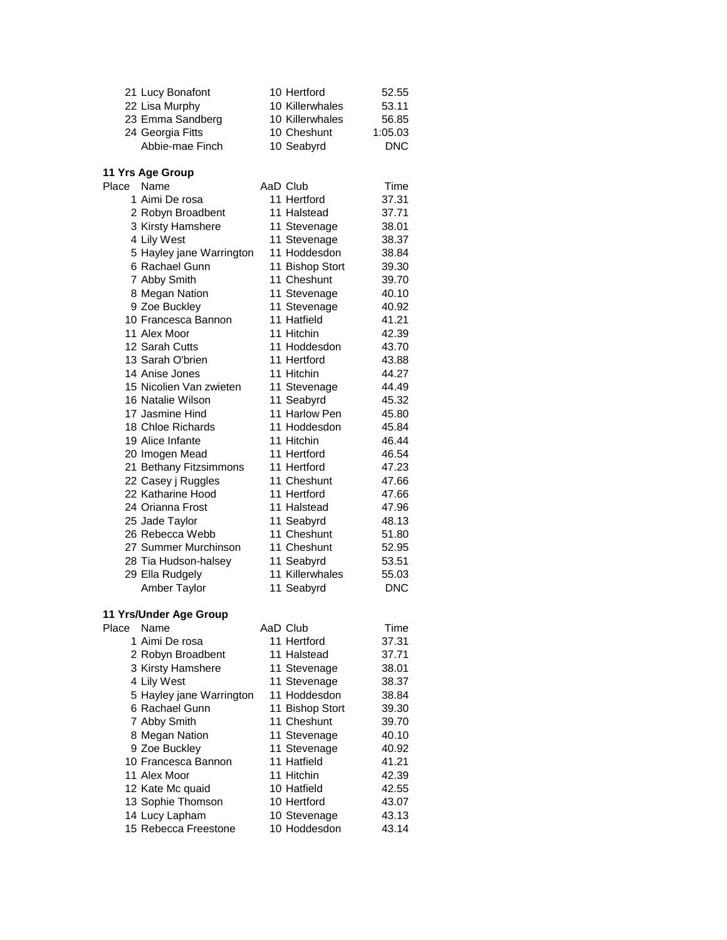|       | 21 Lucy Bonafont         | 10 Hertford     | 52.55      |
|-------|--------------------------|-----------------|------------|
|       | 22 Lisa Murphy           | 10 Killerwhales | 53.11      |
|       | 23 Emma Sandberg         | 10 Killerwhales | 56.85      |
|       | 24 Georgia Fitts         | 10 Cheshunt     | 1:05.03    |
|       | Abbie-mae Finch          | 10 Seabyrd      | <b>DNC</b> |
|       |                          |                 |            |
|       | 11 Yrs Age Group         |                 |            |
| Place | Name                     | AaD Club        | Time       |
|       | 1 Aimi De rosa           | 11 Hertford     | 37.31      |
|       | 2 Robyn Broadbent        | 11 Halstead     | 37.71      |
|       | 3 Kirsty Hamshere        | 11 Stevenage    | 38.01      |
|       | 4 Lily West              | 11 Stevenage    | 38.37      |
|       | 5 Hayley jane Warrington | 11 Hoddesdon    | 38.84      |
|       | 6 Rachael Gunn           | 11 Bishop Stort | 39.30      |
|       | 7 Abby Smith             | 11 Cheshunt     | 39.70      |
|       | 8 Megan Nation           | 11 Stevenage    | 40.10      |
|       | 9 Zoe Buckley            | 11 Stevenage    | 40.92      |
|       | 10 Francesca Bannon      | 11 Hatfield     | 41.21      |
|       | 11 Alex Moor             | 11 Hitchin      | 42.39      |
|       | 12 Sarah Cutts           | 11 Hoddesdon    | 43.70      |
|       | 13 Sarah O'brien         | 11 Hertford     | 43.88      |
|       | 14 Anise Jones           | 11 Hitchin      | 44.27      |
|       | 15 Nicolien Van zwieten  | 11 Stevenage    | 44.49      |
|       | 16 Natalie Wilson        | 11 Seabyrd      | 45.32      |
|       | 17 Jasmine Hind          | 11 Harlow Pen   | 45.80      |
|       | 18 Chloe Richards        | 11 Hoddesdon    | 45.84      |
|       | 19 Alice Infante         | 11 Hitchin      | 46.44      |
|       | 20 Imogen Mead           | 11 Hertford     | 46.54      |
|       | 21 Bethany Fitzsimmons   | 11 Hertford     | 47.23      |
|       | 22 Casey j Ruggles       | 11 Cheshunt     | 47.66      |
|       | 22 Katharine Hood        | 11 Hertford     | 47.66      |
|       | 24 Orianna Frost         | 11 Halstead     | 47.96      |
|       | 25 Jade Taylor           | 11 Seabyrd      | 48.13      |
|       | 26 Rebecca Webb          | 11 Cheshunt     | 51.80      |
|       | 27 Summer Murchinson     | 11 Cheshunt     | 52.95      |
|       | 28 Tia Hudson-halsey     | 11 Seabyrd      | 53.51      |
|       | 29 Ella Rudgely          | 11 Killerwhales | 55.03      |
|       | Amber Taylor             | 11 Seabyrd      | <b>DNC</b> |
|       |                          |                 |            |
|       | 11 Yrs/Under Age Group   |                 |            |
| Place | Name                     | AaD Club        | Time       |
|       | 1 Aimi De rosa           | 11 Hertford     | 37.31      |
|       | 2 Robyn Broadbent        | 11 Halstead     | 37.71      |
|       | 3 Kirsty Hamshere        | 11 Stevenage    | 38.01      |
|       | 4 Lily West              | 11 Stevenage    | 38.37      |
|       | 5 Hayley jane Warrington | 11 Hoddesdon    | 38.84      |
|       | 6 Rachael Gunn           | 11 Bishop Stort | 39.30      |
|       | 7 Abby Smith             | 11 Cheshunt     | 39.70      |
|       | 8 Megan Nation           | 11 Stevenage    | 40.10      |
|       | 9 Zoe Buckley            | 11 Stevenage    | 40.92      |
|       | 10 Francesca Bannon      | 11 Hatfield     | 41.21      |
|       | 11 Alex Moor             | 11 Hitchin      | 42.39      |
|       | 12 Kate Mc quaid         | 10 Hatfield     | 42.55      |
|       | 13 Sophie Thomson        | 10 Hertford     | 43.07      |
|       | 14 Lucy Lapham           | 10 Stevenage    | 43.13      |
|       | 15 Rebecca Freestone     | 10 Hoddesdon    | 43.14      |
|       |                          |                 |            |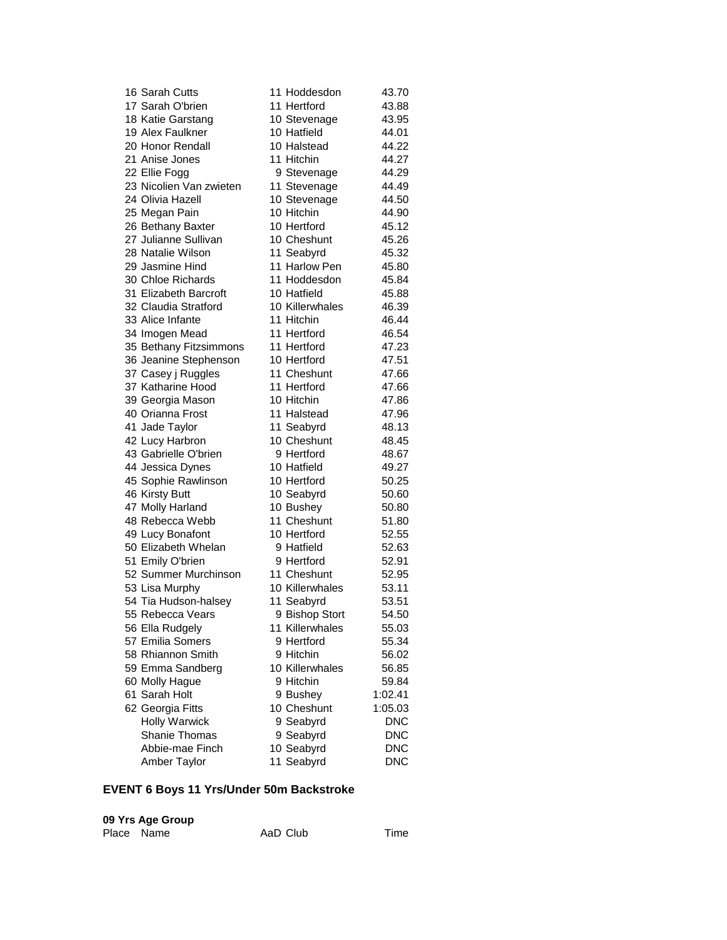| 16 Sarah Cutts          | 11 Hoddesdon    | 43.70      |
|-------------------------|-----------------|------------|
| 17 Sarah O'brien        | 11 Hertford     | 43.88      |
| 18 Katie Garstang       | 10 Stevenage    | 43.95      |
| 19 Alex Faulkner        | 10 Hatfield     | 44.01      |
| 20 Honor Rendall        | 10 Halstead     | 44.22      |
| 21 Anise Jones          | 11 Hitchin      | 44.27      |
| 22 Ellie Fogg           | 9 Stevenage     | 44.29      |
| 23 Nicolien Van zwieten | 11 Stevenage    | 44.49      |
| 24 Olivia Hazell        | 10 Stevenage    | 44.50      |
| 25 Megan Pain           | 10 Hitchin      | 44.90      |
| 26 Bethany Baxter       | 10 Hertford     | 45.12      |
| 27 Julianne Sullivan    | 10 Cheshunt     | 45.26      |
| 28 Natalie Wilson       | 11 Seabyrd      | 45.32      |
| 29 Jasmine Hind         | 11 Harlow Pen   | 45.80      |
| 30 Chloe Richards       | 11 Hoddesdon    | 45.84      |
| 31 Elizabeth Barcroft   | 10 Hatfield     | 45.88      |
| 32 Claudia Stratford    | 10 Killerwhales | 46.39      |
| 33 Alice Infante        | 11 Hitchin      | 46.44      |
| 34 Imogen Mead          | 11 Hertford     | 46.54      |
| 35 Bethany Fitzsimmons  | 11 Hertford     | 47.23      |
| 36 Jeanine Stephenson   | 10 Hertford     | 47.51      |
| 37 Casey j Ruggles      | 11 Cheshunt     | 47.66      |
| 37 Katharine Hood       | 11 Hertford     |            |
|                         |                 | 47.66      |
| 39 Georgia Mason        | 10 Hitchin      | 47.86      |
| 40 Orianna Frost        | 11 Halstead     | 47.96      |
| 41 Jade Taylor          | 11 Seabyrd      | 48.13      |
| 42 Lucy Harbron         | 10 Cheshunt     | 48.45      |
| 43 Gabrielle O'brien    | 9 Hertford      | 48.67      |
| 44 Jessica Dynes        | 10 Hatfield     | 49.27      |
| 45 Sophie Rawlinson     | 10 Hertford     | 50.25      |
| 46 Kirsty Butt          | 10 Seabyrd      | 50.60      |
| 47 Molly Harland        | 10 Bushey       | 50.80      |
| 48 Rebecca Webb         | 11 Cheshunt     | 51.80      |
| 49 Lucy Bonafont        | 10 Hertford     | 52.55      |
| 50 Elizabeth Whelan     | 9 Hatfield      | 52.63      |
| 51 Emily O'brien        | 9 Hertford      | 52.91      |
| 52 Summer Murchinson    | 11 Cheshunt     | 52.95      |
| 53 Lisa Murphy          | 10 Killerwhales | 53.11      |
| 54 Tia Hudson-halsey    | 11 Seabyrd      | 53.51      |
| 55 Rebecca Vears        | 9 Bishop Stort  | 54.50      |
| 56 Ella Rudgely         | 11 Killerwhales | 55.03      |
| 57 Emilia Somers        | 9 Hertford      | 55.34      |
| 58 Rhiannon Smith       | 9 Hitchin       | 56.02      |
| 59 Emma Sandberg        | 10 Killerwhales | 56.85      |
| 60 Molly Hague          | 9 Hitchin       | 59.84      |
| 61 Sarah Holt           | 9 Bushey        | 1:02.41    |
| 62 Georgia Fitts        | 10 Cheshunt     | 1:05.03    |
| <b>Holly Warwick</b>    | 9 Seabyrd       | <b>DNC</b> |
| <b>Shanie Thomas</b>    | 9 Seabyrd       | <b>DNC</b> |
| Abbie-mae Finch         | 10 Seabyrd      | DNC        |
| Amber Taylor            | 11 Seabyrd      | <b>DNC</b> |
|                         |                 |            |

### **EVENT 6 Boys 11 Yrs/Under 50m Backstroke**

| 09 Yrs Age Group |          |      |
|------------------|----------|------|
| Place Name       | AaD Club | Time |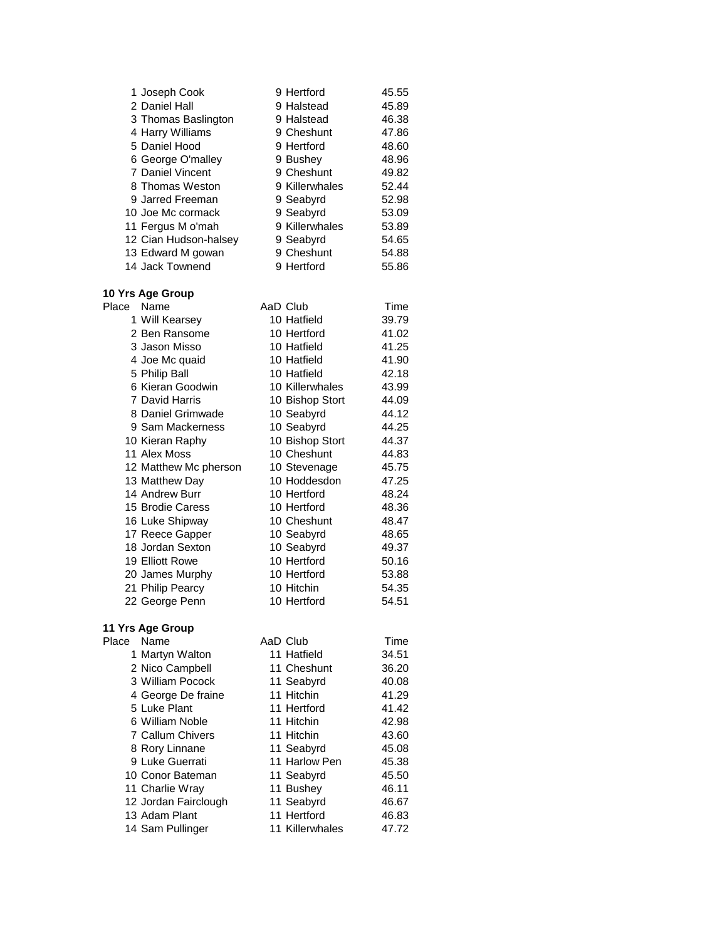|            | 1 Joseph Cook                      | 9 Hertford                | 45.55          |
|------------|------------------------------------|---------------------------|----------------|
|            | 2 Daniel Hall                      | 9 Halstead                | 45.89          |
|            | 3 Thomas Baslington                | 9 Halstead                | 46.38          |
|            | 4 Harry Williams                   | 9 Cheshunt                | 47.86          |
|            | 5 Daniel Hood                      | 9 Hertford                | 48.60          |
|            | 6 George O'malley                  | 9 Bushey                  | 48.96          |
|            | 7 Daniel Vincent                   | 9 Cheshunt                | 49.82          |
|            | 8 Thomas Weston                    | 9 Killerwhales            | 52.44          |
|            | 9 Jarred Freeman                   | 9 Seabyrd                 | 52.98          |
|            | 10 Joe Mc cormack                  | 9 Seabyrd                 | 53.09          |
|            | 11 Fergus M o'mah                  | 9 Killerwhales            | 53.89          |
|            | 12 Cian Hudson-halsey              | 9 Seabyrd                 | 54.65          |
|            | 13 Edward M gowan                  | 9 Cheshunt                | 54.88          |
|            | 14 Jack Townend                    | 9 Hertford                | 55.86          |
|            | 10 Yrs Age Group                   |                           |                |
| Place Name |                                    | AaD Club                  | Time           |
|            | 1 Will Kearsey                     | 10 Hatfield               | 39.79          |
|            | 2 Ben Ransome                      | 10 Hertford               | 41.02          |
|            | 3 Jason Misso                      | 10 Hatfield               | 41.25          |
|            | 4 Joe Mc quaid                     | 10 Hatfield               | 41.90          |
|            | 5 Philip Ball                      | 10 Hatfield               | 42.18          |
|            | 6 Kieran Goodwin                   | 10 Killerwhales           | 43.99          |
|            | 7 David Harris                     | 10 Bishop Stort           | 44.09          |
|            | 8 Daniel Grimwade                  | 10 Seabyrd                | 44.12          |
|            | 9 Sam Mackerness                   | 10 Seabyrd                | 44.25          |
|            | 10 Kieran Raphy                    | 10 Bishop Stort           | 44.37          |
|            | 11 Alex Moss                       | 10 Cheshunt               | 44.83          |
|            | 12 Matthew Mc pherson              | 10 Stevenage              | 45.75          |
|            | 13 Matthew Day                     | 10 Hoddesdon              | 47.25          |
|            | 14 Andrew Burr                     | 10 Hertford               | 48.24          |
|            | 15 Brodie Caress                   | 10 Hertford               | 48.36          |
|            | 16 Luke Shipway                    | 10 Cheshunt               | 48.47          |
|            | 17 Reece Gapper                    | 10 Seabyrd                | 48.65          |
|            | 18 Jordan Sexton                   | 10 Seabyrd                | 49.37          |
|            | 19 Elliott Rowe                    | 10 Hertford               | 50.16          |
|            | 20 James Murphy                    | 10 Hertford               | 53.88          |
|            | 21 Philip Pearcy                   | 10 Hitchin<br>10 Hertford | 54.35          |
|            | 22 George Penn                     |                           | 54.51          |
|            | 11 Yrs Age Group                   |                           |                |
| Place      | Name                               | AaD Club<br>11 Hatfield   | Time<br>34.51  |
|            | 1 Martyn Walton                    | 11 Cheshunt               |                |
|            | 2 Nico Campbell                    |                           | 36.20          |
|            | 3 William Pocock                   | 11 Seabyrd<br>11 Hitchin  | 40.08<br>41.29 |
|            | 4 George De fraine<br>5 Luke Plant | 11 Hertford               | 41.42          |
|            | 6 William Noble                    | 11 Hitchin                |                |
|            | 7 Callum Chivers                   | 11 Hitchin                | 42.98          |
|            | 8 Rory Linnane                     | 11 Seabyrd                | 43.60<br>45.08 |
|            | 9 Luke Guerrati                    | 11 Harlow Pen             | 45.38          |
|            | 10 Conor Bateman                   | 11 Seabyrd                | 45.50          |
|            | 11 Charlie Wray                    | 11 Bushey                 | 46.11          |
|            | 12 Jordan Fairclough               | 11 Seabyrd                | 46.67          |
|            | 13 Adam Plant                      | 11 Hertford               | 46.83          |
|            | 14 Sam Pullinger                   | 11 Killerwhales           | 47.72          |
|            |                                    |                           |                |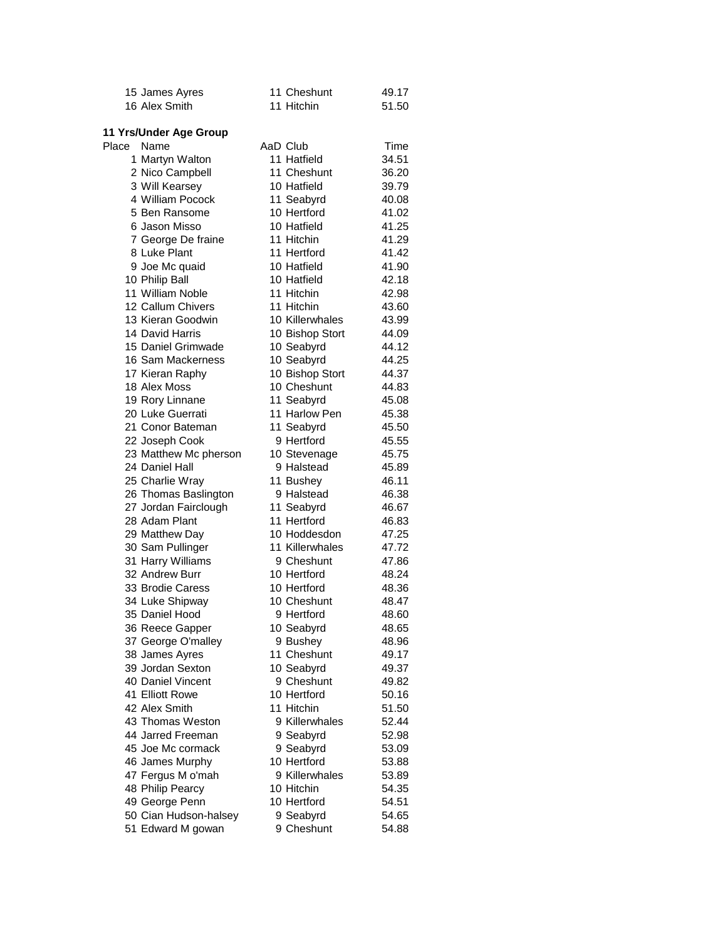| 15 James Ayres                     | 11 Cheshunt             | 49.17 |
|------------------------------------|-------------------------|-------|
| 16 Alex Smith                      | 11 Hitchin              | 51.50 |
|                                    |                         |       |
| 11 Yrs/Under Age Group             |                         | Time  |
| Place<br>Name                      | AaD Club<br>11 Hatfield | 34.51 |
| 1 Martyn Walton<br>2 Nico Campbell | 11 Cheshunt             | 36.20 |
|                                    | 10 Hatfield             | 39.79 |
| 3 Will Kearsey<br>4 William Pocock | 11 Seabyrd              | 40.08 |
| 5 Ben Ransome                      | 10 Hertford             | 41.02 |
| 6 Jason Misso                      | 10 Hatfield             | 41.25 |
| 7 George De fraine                 | 11 Hitchin              | 41.29 |
| 8 Luke Plant                       | 11 Hertford             | 41.42 |
| 9 Joe Mc quaid                     | 10 Hatfield             | 41.90 |
| 10 Philip Ball                     | 10 Hatfield             | 42.18 |
| 11 William Noble                   | 11 Hitchin              | 42.98 |
| 12 Callum Chivers                  | 11 Hitchin              | 43.60 |
| 13 Kieran Goodwin                  | 10 Killerwhales         | 43.99 |
| 14 David Harris                    | 10 Bishop Stort         | 44.09 |
| 15 Daniel Grimwade                 | 10 Seabyrd              | 44.12 |
| 16 Sam Mackerness                  | 10 Seabyrd              | 44.25 |
| 17 Kieran Raphy                    | 10 Bishop Stort         | 44.37 |
| 18 Alex Moss                       | 10 Cheshunt             | 44.83 |
| 19 Rory Linnane                    | 11 Seabyrd              | 45.08 |
| 20 Luke Guerrati                   | 11 Harlow Pen           | 45.38 |
| 21 Conor Bateman                   | 11 Seabyrd              | 45.50 |
| 22 Joseph Cook                     | 9 Hertford              | 45.55 |
| 23 Matthew Mc pherson              | 10 Stevenage            | 45.75 |
| 24 Daniel Hall                     | 9 Halstead              | 45.89 |
| 25 Charlie Wray                    | 11 Bushey               | 46.11 |
| 26 Thomas Baslington               | 9 Halstead              | 46.38 |
| 27 Jordan Fairclough               | 11 Seabyrd              | 46.67 |
| 28 Adam Plant                      | 11 Hertford             | 46.83 |
| 29 Matthew Day                     | 10 Hoddesdon            | 47.25 |
| 30 Sam Pullinger                   | 11 Killerwhales         | 47.72 |
| 31 Harry Williams                  | 9 Cheshunt              | 47.86 |
| 32 Andrew Burr                     | 10 Hertford             | 48.24 |
| 33 Brodie Caress                   | 10 Hertford             | 48.36 |
| 34 Luke Shipway                    | 10 Cheshunt             | 48.47 |
| 35 Daniel Hood                     | 9 Hertford              | 48.60 |
| 36 Reece Gapper                    | 10 Seabyrd              | 48.65 |
| 37 George O'malley                 | 9 Bushey                | 48.96 |
| 38 James Ayres                     | 11 Cheshunt             | 49.17 |
| 39 Jordan Sexton                   | 10 Seabyrd              | 49.37 |
| 40 Daniel Vincent                  | 9 Cheshunt              | 49.82 |
| 41 Elliott Rowe                    | 10 Hertford             | 50.16 |
| 42 Alex Smith                      | 11 Hitchin              | 51.50 |
| 43 Thomas Weston                   | 9 Killerwhales          | 52.44 |
| 44 Jarred Freeman                  | 9 Seabyrd               | 52.98 |
| 45 Joe Mc cormack                  | 9 Seabyrd               | 53.09 |
| 46 James Murphy                    | 10 Hertford             | 53.88 |
| 47 Fergus M o'mah                  | 9 Killerwhales          | 53.89 |
| 48 Philip Pearcy                   | 10 Hitchin              | 54.35 |
| 49 George Penn                     | 10 Hertford             | 54.51 |
| 50 Cian Hudson-halsey              | 9 Seabyrd               | 54.65 |
| 51 Edward M gowan                  | 9 Cheshunt              | 54.88 |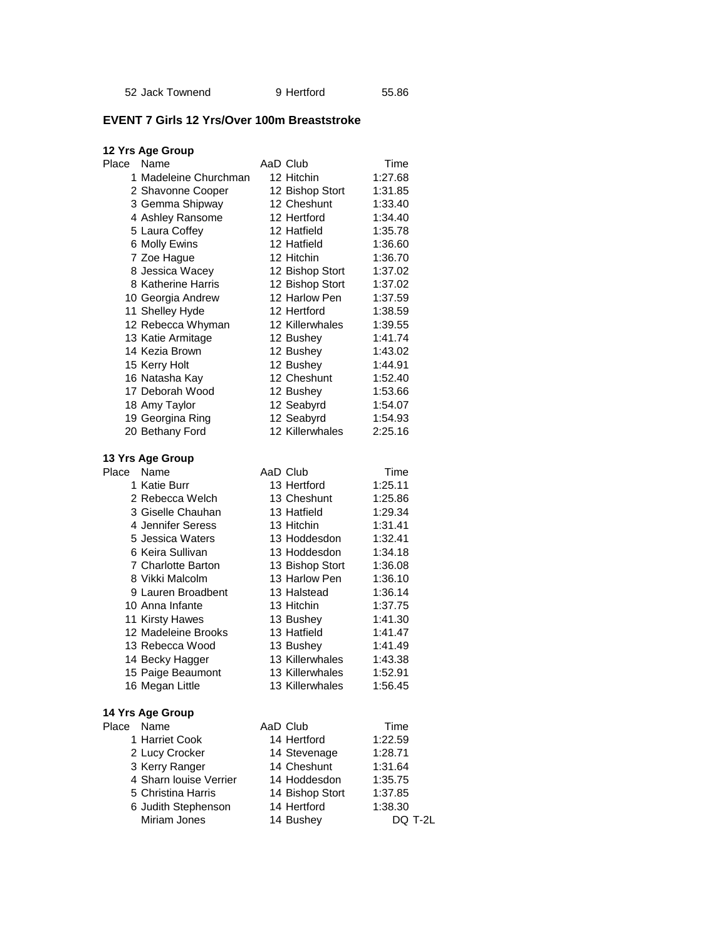Jack Townend 9 Hertford 55.86

### **EVENT 7 Girls 12 Yrs/Over 100m Breaststroke**

| 12 Yrs Age Group       |                 |         |
|------------------------|-----------------|---------|
| Place<br>Name          | AaD Club        | Time    |
| 1 Madeleine Churchman  | 12 Hitchin      | 1:27.68 |
| 2 Shavonne Cooper      | 12 Bishop Stort | 1:31.85 |
| 3 Gemma Shipway        | 12 Cheshunt     | 1:33.40 |
| 4 Ashley Ransome       | 12 Hertford     | 1:34.40 |
| 5 Laura Coffey         | 12 Hatfield     | 1:35.78 |
| 6 Molly Ewins          | 12 Hatfield     | 1:36.60 |
| 7 Zoe Hague            | 12 Hitchin      | 1:36.70 |
| 8 Jessica Wacey        | 12 Bishop Stort | 1:37.02 |
| 8 Katherine Harris     | 12 Bishop Stort | 1:37.02 |
| 10 Georgia Andrew      | 12 Harlow Pen   | 1:37.59 |
| 11 Shelley Hyde        | 12 Hertford     | 1:38.59 |
| 12 Rebecca Whyman      | 12 Killerwhales | 1:39.55 |
| 13 Katie Armitage      | 12 Bushey       | 1:41.74 |
| 14 Kezia Brown         | 12 Bushey       | 1:43.02 |
| 15 Kerry Holt          | 12 Bushey       | 1:44.91 |
| 16 Natasha Kay         | 12 Cheshunt     | 1:52.40 |
| 17 Deborah Wood        | 12 Bushey       | 1:53.66 |
| 18 Amy Taylor          | 12 Seabyrd      | 1:54.07 |
| 19 Georgina Ring       | 12 Seabyrd      | 1:54.93 |
| 20 Bethany Ford        | 12 Killerwhales | 2:25.16 |
|                        |                 |         |
| 13 Yrs Age Group       |                 |         |
| Place<br>Name          | AaD Club        | Time    |
| 1 Katie Burr           | 13 Hertford     | 1:25.11 |
| 2 Rebecca Welch        | 13 Cheshunt     | 1:25.86 |
| 3 Giselle Chauhan      | 13 Hatfield     | 1:29.34 |
| 4 Jennifer Seress      | 13 Hitchin      | 1:31.41 |
| 5 Jessica Waters       | 13 Hoddesdon    | 1:32.41 |
| 6 Keira Sullivan       | 13 Hoddesdon    | 1:34.18 |
| 7 Charlotte Barton     | 13 Bishop Stort | 1:36.08 |
| 8 Vikki Malcolm        | 13 Harlow Pen   | 1:36.10 |
| 9 Lauren Broadbent     | 13 Halstead     | 1:36.14 |
| 10 Anna Infante        | 13 Hitchin      | 1:37.75 |
| 11 Kirsty Hawes        | 13 Bushey       | 1:41.30 |
| 12 Madeleine Brooks    | 13 Hatfield     | 1:41.47 |
| 13 Rebecca Wood        | 13 Bushey       | 1:41.49 |
| 14 Becky Hagger        | 13 Killerwhales | 1:43.38 |
| 15 Paige Beaumont      | 13 Killerwhales | 1:52.91 |
| 16 Megan Little        | 13 Killerwhales | 1:56.45 |
|                        |                 |         |
| 14 Yrs Age Group       |                 |         |
| Place<br>Name          | AaD Club        | Time    |
| 1 Harriet Cook         | 14 Hertford     | 1:22.59 |
| 2 Lucy Crocker         | 14 Stevenage    | 1:28.71 |
| 3 Kerry Ranger         | 14 Cheshunt     | 1:31.64 |
| 4 Sharn louise Verrier | 14 Hoddesdon    | 1:35.75 |
| 5 Christina Harris     | 14 Bishop Stort | 1:37.85 |
| 6 Judith Stephenson    | 14 Hertford     | 1:38.30 |
| Miriam Jones           | 14 Bushey       | DQ T-2L |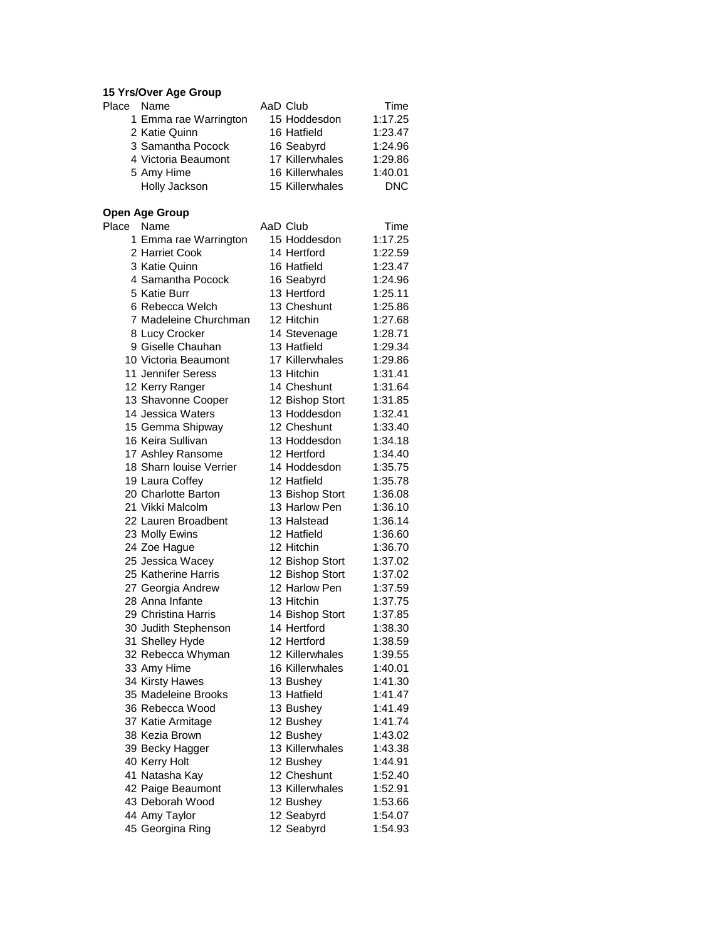# **15 Yrs/Over Age Group**

| Place Name |                       | AaD Club        | Time       |
|------------|-----------------------|-----------------|------------|
|            | 1 Emma rae Warrington | 15 Hoddesdon    | 1:17.25    |
|            | 2 Katie Quinn         | 16 Hatfield     | 1:23.47    |
|            | 3 Samantha Pocock     | 16 Seabyrd      | 1:24.96    |
|            | 4 Victoria Beaumont   | 17 Killerwhales | 1:29.86    |
|            | 5 Amy Hime            | 16 Killerwhales | 1:40.01    |
|            | Holly Jackson         | 15 Killerwhales | <b>DNC</b> |

### **Open Age Group**

| Place<br>Name  |                         | AaD Club        | Time    |
|----------------|-------------------------|-----------------|---------|
|                | 1 Emma rae Warrington   | 15 Hoddesdon    | 1:17.25 |
|                | 2 Harriet Cook          | 14 Hertford     | 1:22.59 |
|                | 3 Katie Quinn           | 16 Hatfield     | 1:23.47 |
|                | 4 Samantha Pocock       | 16 Seabyrd      | 1:24.96 |
| 5 Katie Burr   |                         | 13 Hertford     | 1:25.11 |
|                | 6 Rebecca Welch         | 13 Cheshunt     | 1:25.86 |
|                | 7 Madeleine Churchman   | 12 Hitchin      | 1:27.68 |
|                | 8 Lucy Crocker          | 14 Stevenage    | 1:28.71 |
|                | 9 Giselle Chauhan       | 13 Hatfield     | 1:29.34 |
|                | 10 Victoria Beaumont    | 17 Killerwhales | 1:29.86 |
|                | 11 Jennifer Seress      | 13 Hitchin      | 1:31.41 |
|                | 12 Kerry Ranger         | 14 Cheshunt     | 1:31.64 |
|                | 13 Shavonne Cooper      | 12 Bishop Stort | 1:31.85 |
|                | 14 Jessica Waters       | 13 Hoddesdon    | 1:32.41 |
|                | 15 Gemma Shipway        | 12 Cheshunt     | 1:33.40 |
|                | 16 Keira Sullivan       | 13 Hoddesdon    | 1:34.18 |
|                | 17 Ashley Ransome       | 12 Hertford     | 1:34.40 |
|                | 18 Sharn louise Verrier | 14 Hoddesdon    | 1:35.75 |
|                | 19 Laura Coffey         | 12 Hatfield     | 1:35.78 |
|                | 20 Charlotte Barton     | 13 Bishop Stort | 1:36.08 |
|                | 21 Vikki Malcolm        | 13 Harlow Pen   | 1:36.10 |
|                | 22 Lauren Broadbent     | 13 Halstead     | 1:36.14 |
| 23 Molly Ewins |                         | 12 Hatfield     | 1:36.60 |
| 24 Zoe Hague   |                         | 12 Hitchin      | 1:36.70 |
|                | 25 Jessica Wacey        | 12 Bishop Stort | 1:37.02 |
|                | 25 Katherine Harris     | 12 Bishop Stort | 1:37.02 |
|                | 27 Georgia Andrew       | 12 Harlow Pen   | 1:37.59 |
|                | 28 Anna Infante         | 13 Hitchin      | 1:37.75 |
|                | 29 Christina Harris     | 14 Bishop Stort | 1:37.85 |
|                | 30 Judith Stephenson    | 14 Hertford     | 1:38.30 |
|                | 31 Shelley Hyde         | 12 Hertford     | 1:38.59 |
|                | 32 Rebecca Whyman       | 12 Killerwhales | 1:39.55 |
| 33 Amy Hime    |                         | 16 Killerwhales | 1:40.01 |
|                | 34 Kirsty Hawes         | 13 Bushey       | 1:41.30 |
|                | 35 Madeleine Brooks     | 13 Hatfield     | 1:41.47 |
|                | 36 Rebecca Wood         | 13 Bushey       | 1:41.49 |
|                | 37 Katie Armitage       | 12 Bushey       | 1:41.74 |
|                | 38 Kezia Brown          | 12 Bushey       | 1:43.02 |
|                | 39 Becky Hagger         | 13 Killerwhales | 1:43.38 |
| 40 Kerry Holt  |                         | 12 Bushey       | 1:44.91 |
|                | 41 Natasha Kay          | 12 Cheshunt     | 1:52.40 |
|                | 42 Paige Beaumont       | 13 Killerwhales | 1:52.91 |
|                | 43 Deborah Wood         | 12 Bushey       | 1:53.66 |
| 44 Amy Taylor  |                         | 12 Seabyrd      | 1:54.07 |
|                | 45 Georgina Ring        | 12 Seabyrd      | 1:54.93 |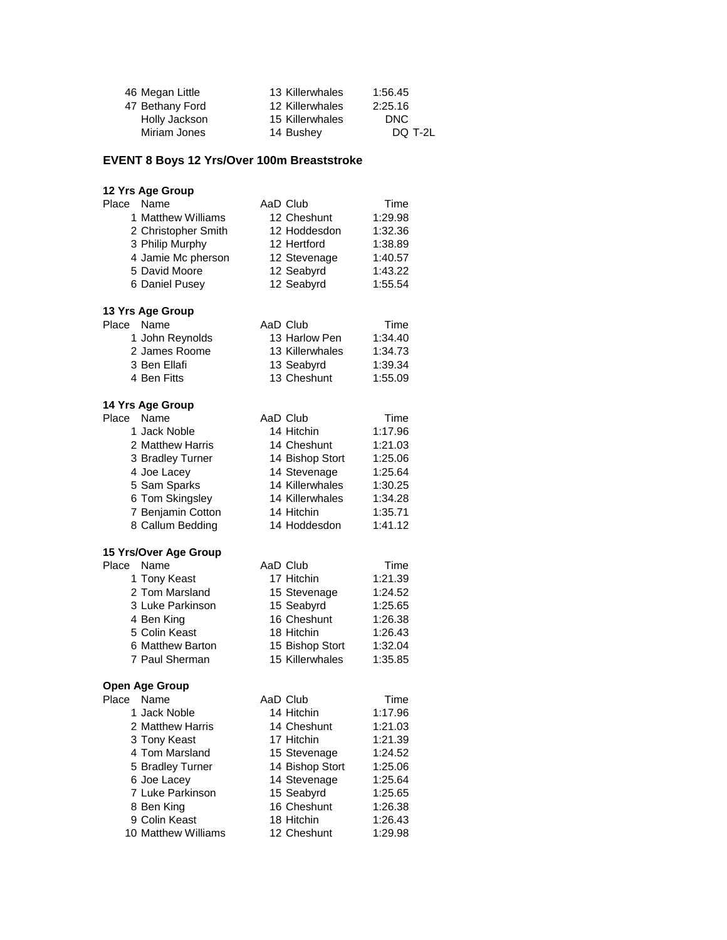| 46 Megan Little | 13 Killerwhales | 1:56.45 |
|-----------------|-----------------|---------|
| 47 Bethany Ford | 12 Killerwhales | 2:25.16 |
| Holly Jackson   | 15 Killerwhales | DNC.    |
| Miriam Jones    | 14 Bushey       | DQ T-2L |

## **EVENT 8 Boys 12 Yrs/Over 100m Breaststroke**

| 12 Yrs Age Group      |                 |         |
|-----------------------|-----------------|---------|
| Place<br>Name         | AaD Club        | Time    |
| 1 Matthew Williams    | 12 Cheshunt     | 1:29.98 |
| 2 Christopher Smith   | 12 Hoddesdon    | 1:32.36 |
| 3 Philip Murphy       | 12 Hertford     | 1:38.89 |
| 4 Jamie Mc pherson    | 12 Stevenage    | 1:40.57 |
| 5 David Moore         | 12 Seabyrd      | 1:43.22 |
| 6 Daniel Pusey        | 12 Seabyrd      | 1:55.54 |
| 13 Yrs Age Group      |                 |         |
| Place Name            | AaD Club        | Time    |
| 1 John Reynolds       | 13 Harlow Pen   | 1:34.40 |
| 2 James Roome         | 13 Killerwhales | 1:34.73 |
| 3 Ben Ellafi          | 13 Seabyrd      | 1:39.34 |
| 4 Ben Fitts           | 13 Cheshunt     | 1:55.09 |
| 14 Yrs Age Group      |                 |         |
| Place<br>Name         | AaD Club        | Time    |
| 1 Jack Noble          | 14 Hitchin      | 1:17.96 |
| 2 Matthew Harris      | 14 Cheshunt     | 1:21.03 |
| 3 Bradley Turner      | 14 Bishop Stort | 1:25.06 |
| 4 Joe Lacey           | 14 Stevenage    | 1:25.64 |
| 5 Sam Sparks          | 14 Killerwhales | 1:30.25 |
| 6 Tom Skingsley       | 14 Killerwhales | 1:34.28 |
| 7 Benjamin Cotton     | 14 Hitchin      | 1:35.71 |
| 8 Callum Bedding      | 14 Hoddesdon    | 1:41.12 |
| 15 Yrs/Over Age Group |                 |         |
| Place<br>Name         | AaD Club        | Time    |
| 1 Tony Keast          | 17 Hitchin      | 1:21.39 |
| 2 Tom Marsland        | 15 Stevenage    | 1:24.52 |
| 3 Luke Parkinson      | 15 Seabyrd      | 1:25.65 |
| 4 Ben King            | 16 Cheshunt     | 1:26.38 |
| 5 Colin Keast         | 18 Hitchin      | 1:26.43 |
| 6 Matthew Barton      | 15 Bishop Stort | 1:32.04 |
| 7 Paul Sherman        | 15 Killerwhales | 1:35.85 |
| <b>Open Age Group</b> |                 |         |
| Name<br>Place         | AaD Club        | Time    |
| 1 Jack Noble          | 14 Hitchin      | 1:17.96 |
| 2 Matthew Harris      | 14 Cheshunt     | 1:21.03 |
| 3 Tony Keast          | 17 Hitchin      | 1:21.39 |
| 4 Tom Marsland        | 15 Stevenage    | 1:24.52 |
| 5 Bradley Turner      | 14 Bishop Stort | 1:25.06 |
| 6 Joe Lacey           | 14 Stevenage    | 1:25.64 |
| 7 Luke Parkinson      | 15 Seabyrd      | 1:25.65 |
| 8 Ben King            | 16 Cheshunt     | 1:26.38 |
| 9 Colin Keast         | 18 Hitchin      | 1:26.43 |
| 10 Matthew Williams   | 12 Cheshunt     | 1:29.98 |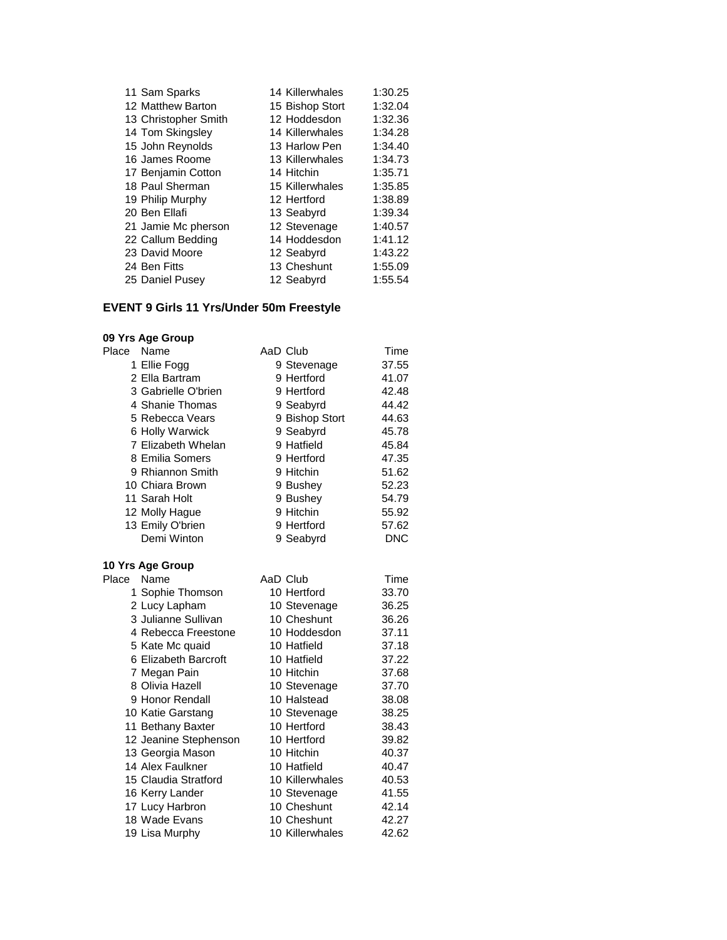| 11 Sam Sparks        | 14 Killerwhales | 1:30.25 |
|----------------------|-----------------|---------|
| 12 Matthew Barton    | 15 Bishop Stort | 1:32.04 |
| 13 Christopher Smith | 12 Hoddesdon    | 1:32.36 |
| 14 Tom Skingsley     | 14 Killerwhales | 1:34.28 |
| 15 John Reynolds     | 13 Harlow Pen   | 1:34.40 |
| 16 James Roome       | 13 Killerwhales | 1:34.73 |
| 17 Benjamin Cotton   | 14 Hitchin      | 1:35.71 |
| 18 Paul Sherman      | 15 Killerwhales | 1:35.85 |
| 19 Philip Murphy     | 12 Hertford     | 1:38.89 |
| 20 Ben Ellafi        | 13 Seabyrd      | 1:39.34 |
| 21 Jamie Mc pherson  | 12 Stevenage    | 1:40.57 |
| 22 Callum Bedding    | 14 Hoddesdon    | 1:41.12 |
| 23 David Moore       | 12 Seabyrd      | 1:43.22 |
| 24 Ben Fitts         | 13 Cheshunt     | 1:55.09 |
| 25 Daniel Pusey      | 12 Seabyrd      | 1:55.54 |

### **EVENT 9 Girls 11 Yrs/Under 50m Freestyle**

#### **09 Yrs Age Group**

| Place | Name                  | AaD Club        | Time       |
|-------|-----------------------|-----------------|------------|
|       | 1 Ellie Fogg          | 9 Stevenage     | 37.55      |
|       | 2 Ella Bartram        | 9 Hertford      | 41.07      |
|       | 3 Gabrielle O'brien   | 9 Hertford      | 42.48      |
|       | 4 Shanie Thomas       | 9 Seabyrd       | 44.42      |
|       | 5 Rebecca Vears       | 9 Bishop Stort  | 44.63      |
|       | 6 Holly Warwick       | 9 Seabyrd       | 45.78      |
|       | 7 Elizabeth Whelan    | 9 Hatfield      | 45.84      |
|       | 8 Emilia Somers       | 9 Hertford      | 47.35      |
|       | 9 Rhiannon Smith      | 9 Hitchin       | 51.62      |
|       | 10 Chiara Brown       | 9 Bushey        | 52.23      |
|       | 11 Sarah Holt         | 9 Bushey        | 54.79      |
|       | 12 Molly Hague        | 9 Hitchin       | 55.92      |
|       | 13 Emily O'brien      | 9 Hertford      | 57.62      |
|       | Demi Winton           | 9 Seabyrd       | <b>DNC</b> |
|       | 10 Yrs Age Group      |                 |            |
| Place | Name                  | AaD Club        | Time       |
|       | 1 Sophie Thomson      | 10 Hertford     | 33.70      |
|       | 2 Lucy Lapham         | 10 Stevenage    | 36.25      |
|       | 3 Julianne Sullivan   | 10 Cheshunt     | 36.26      |
|       | 4 Rebecca Freestone   | 10 Hoddesdon    | 37.11      |
|       | 5 Kate Mc quaid       | 10 Hatfield     | 37.18      |
|       | 6 Elizabeth Barcroft  | 10 Hatfield     | 37.22      |
|       | 7 Megan Pain          | 10 Hitchin      | 37.68      |
|       | 8 Olivia Hazell       | 10 Stevenage    | 37.70      |
|       | 9 Honor Rendall       | 10 Halstead     | 38.08      |
|       | 10 Katie Garstang     | 10 Stevenage    | 38.25      |
|       | 11 Bethany Baxter     | 10 Hertford     | 38.43      |
|       | 12 Jeanine Stephenson | 10 Hertford     | 39.82      |
|       | 13 Georgia Mason      | 10 Hitchin      | 40.37      |
|       | 14 Alex Faulkner      | 10 Hatfield     | 40.47      |
|       | 15 Claudia Stratford  | 10 Killerwhales | 40.53      |

16 Kerry Lander 10 Stevenage 41.55 17 Lucy Harbron 10 Cheshunt 42.14 18 Wade Evans 10 Cheshunt 42.27<br>19 Lisa Murphy 10 Killerwhales 42.62

19 Lisa Murphy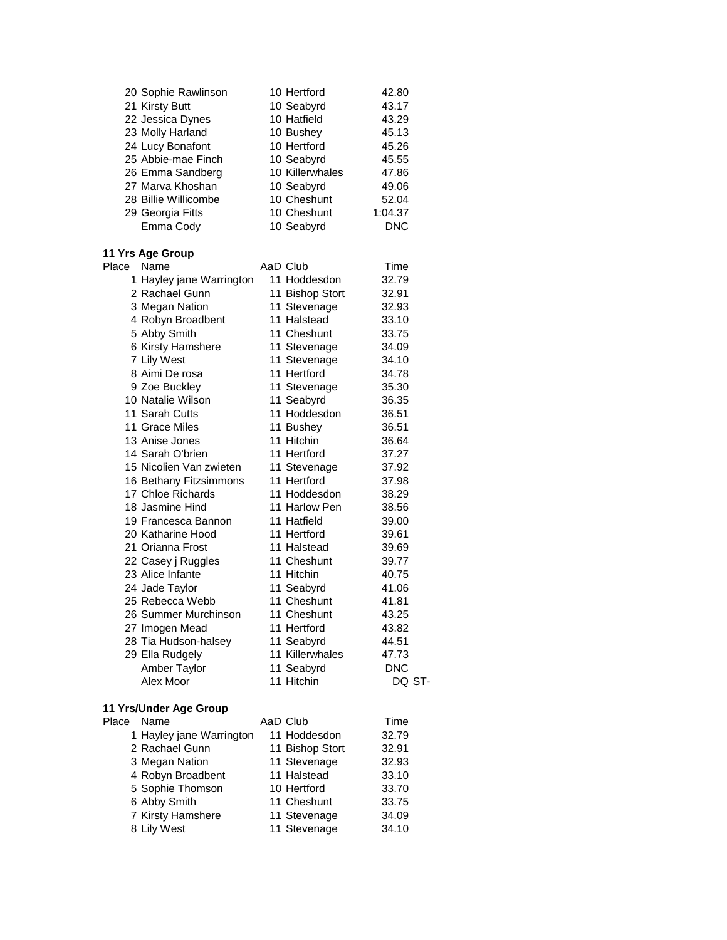|       | 20 Sophie Rawlinson                    | 10 Hertford               | 42.80          |
|-------|----------------------------------------|---------------------------|----------------|
|       | 21 Kirsty Butt                         | 10 Seabyrd                | 43.17          |
|       | 22 Jessica Dynes                       | 10 Hatfield               | 43.29          |
|       | 23 Molly Harland                       | 10 Bushey                 | 45.13          |
|       | 24 Lucy Bonafont                       | 10 Hertford               | 45.26          |
|       | 25 Abbie-mae Finch                     | 10 Seabyrd                | 45.55          |
|       | 26 Emma Sandberg                       | 10 Killerwhales           | 47.86          |
|       | 27 Marva Khoshan                       | 10 Seabyrd                | 49.06          |
|       | 28 Billie Willicombe                   | 10 Cheshunt               | 52.04          |
|       | 29 Georgia Fitts                       | 10 Cheshunt               | 1:04.37        |
|       | Emma Cody                              | 10 Seabyrd                | <b>DNC</b>     |
|       | 11 Yrs Age Group                       |                           |                |
| Place | Name                                   | AaD Club                  | Time           |
|       | 1 Hayley jane Warrington               | 11 Hoddesdon              | 32.79          |
|       | 2 Rachael Gunn                         | 11 Bishop Stort           | 32.91          |
|       | 3 Megan Nation                         | 11 Stevenage              | 32.93          |
|       | 4 Robyn Broadbent                      | 11 Halstead               | 33.10          |
|       | 5 Abby Smith                           | 11 Cheshunt               | 33.75          |
|       | 6 Kirsty Hamshere                      | 11 Stevenage              | 34.09          |
|       | 7 Lily West                            | 11 Stevenage              | 34.10          |
|       | 8 Aimi De rosa                         | 11 Hertford               | 34.78          |
|       | 9 Zoe Buckley                          | 11 Stevenage              | 35.30          |
|       | 10 Natalie Wilson                      | 11 Seabyrd                | 36.35          |
|       | 11 Sarah Cutts                         | 11 Hoddesdon              | 36.51          |
|       | 11 Grace Miles                         | 11 Bushey                 | 36.51          |
|       | 13 Anise Jones                         | 11 Hitchin                | 36.64          |
|       | 14 Sarah O'brien                       | 11 Hertford               | 37.27          |
|       | 15 Nicolien Van zwieten                | 11 Stevenage              | 37.92          |
|       | 16 Bethany Fitzsimmons                 | 11 Hertford               | 37.98          |
|       | 17 Chloe Richards                      | 11 Hoddesdon              | 38.29          |
|       | 18 Jasmine Hind                        | 11 Harlow Pen             | 38.56          |
|       | 19 Francesca Bannon                    | 11 Hatfield               | 39.00          |
|       | 20 Katharine Hood                      | 11 Hertford               | 39.61          |
|       | 21 Orianna Frost                       | 11 Halstead               | 39.69          |
|       | 22 Casey j Ruggles                     | 11 Cheshunt               | 39.77          |
|       | 23 Alice Infante                       | 11 Hitchin                | 40.75          |
|       | 24 Jade Taylor                         | 11 Seabyrd                | 41.06          |
|       | 25 Rebecca Webb                        | 11 Cheshunt               | 41.81          |
|       | 26 Summer Murchinson                   | 11 Cheshunt               | 43.25          |
|       | 27 Imogen Mead<br>28 Tia Hudson-halsey | 11 Hertford<br>11 Seabyrd | 43.82<br>44.51 |
|       | 29 Ella Rudgely                        | 11 Killerwhales           | 47.73          |
|       | Amber Taylor                           | 11 Seabyrd                | DNC            |
|       | Alex Moor                              | 11 Hitchin                | DQ ST-         |
|       |                                        |                           |                |

# **11 Yrs/Under Age Group**

| Place | Name                     | AaD Club |                 | Time  |
|-------|--------------------------|----------|-----------------|-------|
|       | 1 Hayley jane Warrington |          | 11 Hoddesdon    | 32.79 |
|       | 2 Rachael Gunn           |          | 11 Bishop Stort | 32.91 |
|       | 3 Megan Nation           |          | 11 Stevenage    | 32.93 |
|       | 4 Robyn Broadbent        |          | 11 Halstead     | 33.10 |
|       | 5 Sophie Thomson         |          | 10 Hertford     | 33.70 |
|       | 6 Abby Smith             |          | 11 Cheshunt     | 33.75 |
|       | 7 Kirsty Hamshere        |          | 11 Stevenage    | 34.09 |
|       | 8 Lily West              |          | 11 Stevenage    | 34.10 |
|       |                          |          |                 |       |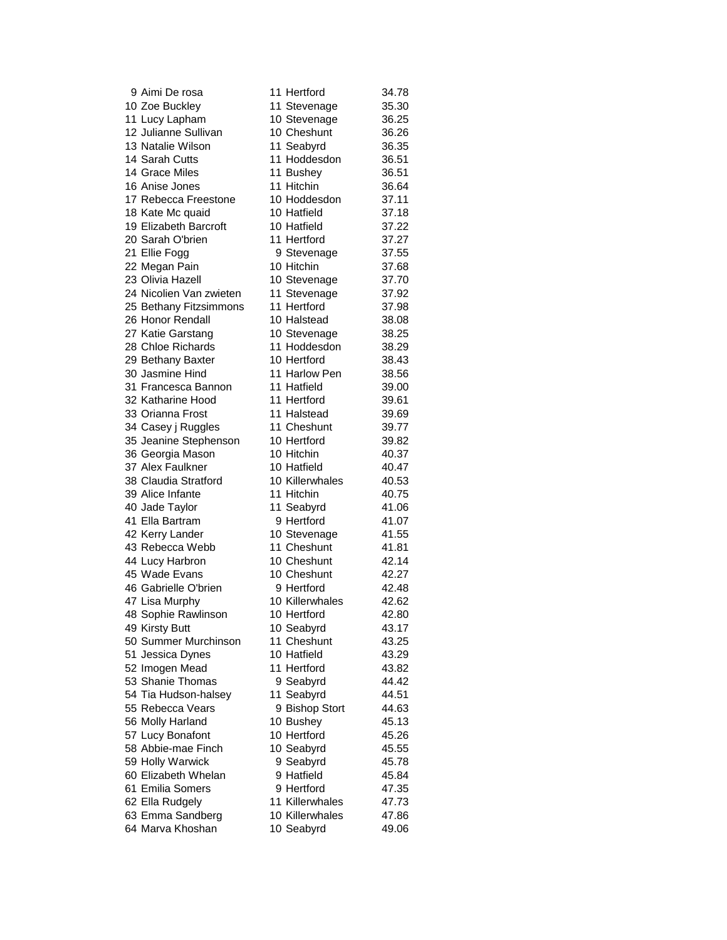| 9 Almi De rosa          | 11 Hertrord     | 34.78 |
|-------------------------|-----------------|-------|
| 10 Zoe Buckley          | 11 Stevenage    | 35.30 |
| 11 Lucy Lapham          | 10 Stevenage    | 36.25 |
| 12 Julianne Sullivan    | 10 Cheshunt     | 36.26 |
| 13 Natalie Wilson       | 11 Seabyrd      | 36.35 |
| 14 Sarah Cutts          | 11 Hoddesdon    | 36.51 |
| 14 Grace Miles          | 11 Bushey       | 36.51 |
| 16 Anise Jones          | 11 Hitchin      | 36.64 |
| 17 Rebecca Freestone    | 10 Hoddesdon    | 37.11 |
| 18 Kate Mc quaid        | 10 Hatfield     | 37.18 |
| 19 Elizabeth Barcroft   | 10 Hatfield     | 37.22 |
| 20 Sarah O'brien        | 11 Hertford     | 37.27 |
| 21 Ellie Fogg           | 9 Stevenage     | 37.55 |
| 22 Megan Pain           | 10 Hitchin      | 37.68 |
| 23 Olivia Hazell        | 10 Stevenage    | 37.70 |
| 24 Nicolien Van zwieten | 11 Stevenage    | 37.92 |
| 25 Bethany Fitzsimmons  | 11 Hertford     | 37.98 |
| 26 Honor Rendall        | 10 Halstead     | 38.08 |
| 27 Katie Garstang       | 10 Stevenage    | 38.25 |
| 28 Chloe Richards       | 11 Hoddesdon    | 38.29 |
| 29 Bethany Baxter       | 10 Hertford     | 38.43 |
| 30 Jasmine Hind         | 11 Harlow Pen   | 38.56 |
| 31 Francesca Bannon     | 11 Hatfield     | 39.00 |
| 32 Katharine Hood       | 11 Hertford     | 39.61 |
| 33 Orianna Frost        | 11 Halstead     | 39.69 |
| 34 Casey j Ruggles      | 11 Cheshunt     | 39.77 |
| 35 Jeanine Stephenson   | 10 Hertford     | 39.82 |
| 36 Georgia Mason        | 10 Hitchin      | 40.37 |
| 37 Alex Faulkner        | 10 Hatfield     | 40.47 |
| 38 Claudia Stratford    | 10 Killerwhales | 40.53 |
| 39 Alice Infante        | 11 Hitchin      | 40.75 |
| 40 Jade Taylor          | 11 Seabyrd      | 41.06 |
| 41 Ella Bartram         | 9 Hertford      | 41.07 |
| 42 Kerry Lander         | 10 Stevenage    | 41.55 |
| 43 Rebecca Webb         | 11 Cheshunt     | 41.81 |
| 44 Lucy Harbron         | 10 Cheshunt     | 42.14 |
| 45 Wade Evans           | 10 Cheshunt     | 42.27 |
| 46 Gabrielle O'brien    | 9 Hertford      | 42.48 |
| 47 Lisa Murphy          | 10 Killerwhales | 42.62 |
| 48 Sophie Rawlinson     | 10 Hertford     | 42.80 |
| 49 Kirsty Butt          | 10 Seabyrd      | 43.17 |
| 50 Summer Murchinson    | 11 Cheshunt     | 43.25 |
| 51 Jessica Dynes        | 10 Hatfield     | 43.29 |
| 52 Imogen Mead          | 11 Hertford     | 43.82 |
| 53 Shanie Thomas        | 9 Seabyrd       | 44.42 |
| 54 Tia Hudson-halsey    | 11 Seabyrd      | 44.51 |
| 55 Rebecca Vears        | 9 Bishop Stort  | 44.63 |
| 56 Molly Harland        | 10 Bushey       | 45.13 |
| 57 Lucy Bonafont        | 10 Hertford     | 45.26 |
| 58 Abbie-mae Finch      | 10 Seabyrd      | 45.55 |
| 59 Holly Warwick        | 9 Seabyrd       | 45.78 |
| 60 Elizabeth Whelan     | 9 Hatfield      | 45.84 |
| 61 Emilia Somers        | 9 Hertford      | 47.35 |
| 62 Ella Rudgely         | 11 Killerwhales | 47.73 |
| 63 Emma Sandberg        | 10 Killerwhales | 47.86 |
| 64 Marva Khoshan        | 10 Seabyrd      | 49.06 |
|                         |                 |       |

| 9 Aimi De rosa                    | 11 Hertford     | 34.78 |
|-----------------------------------|-----------------|-------|
| 10 Zoe Buckley                    | 11 Stevenage    | 35.30 |
| 1 Lucy Lapham                     | 10 Stevenage    | 36.25 |
| 2 Julianne Sullivan               | 10 Cheshunt     | 36.26 |
| 3 Natalie Wilson                  | 11 Seabyrd      | 36.35 |
| 4 Sarah Cutts                     | 11 Hoddesdon    | 36.51 |
| 4 Grace Miles                     | 11 Bushey       | 36.51 |
| 6 Anise Jones                     | 11 Hitchin      | 36.64 |
| 7 Rebecca Freestone               | 10 Hoddesdon    | 37.11 |
| 8 Kate Mc quaid                   | 10 Hatfield     | 37.18 |
| 9 Elizabeth Barcroft              | 10 Hatfield     | 37.22 |
| 20 Sarah O'brien                  | 11 Hertford     | 37.27 |
| 21 Ellie Fogg                     | 9 Stevenage     | 37.55 |
|                                   | 10 Hitchin      | 37.68 |
| 22 Megan Pain<br>23 Olivia Hazell |                 |       |
|                                   | 10 Stevenage    | 37.70 |
| 24 Nicolien Van zwieten           | 11 Stevenage    | 37.92 |
| 25 Bethany Fitzsimmons            | 11 Hertford     | 37.98 |
| 26 Honor Rendall                  | 10 Halstead     | 38.08 |
| 27 Katie Garstang                 | 10 Stevenage    | 38.25 |
| 28 Chloe Richards                 | 11 Hoddesdon    | 38.29 |
| 29 Bethany Baxter                 | 10 Hertford     | 38.43 |
| 30 Jasmine Hind                   | 11 Harlow Pen   | 38.56 |
| 31 Francesca Bannon               | 11 Hatfield     | 39.00 |
| 32 Katharine Hood                 | 11 Hertford     | 39.61 |
| 33 Orianna Frost                  | 11 Halstead     | 39.69 |
| 34 Casey j Ruggles                | 11 Cheshunt     | 39.77 |
| 35 Jeanine Stephenson             | 10 Hertford     | 39.82 |
| 36 Georgia Mason                  | 10 Hitchin      | 40.37 |
| 37 Alex Faulkner                  | 10 Hatfield     | 40.47 |
| <b>88 Claudia Stratford</b>       | 10 Killerwhales | 40.53 |
| 39 Alice Infante                  | 11 Hitchin      | 40.75 |
| 10 Jade Taylor                    | 11 Seabyrd      | 41.06 |
| 11 Ella Bartram                   | 9 Hertford      | 41.07 |
| 12 Kerry Lander                   | 10 Stevenage    | 41.55 |
| 13 Rebecca Webb                   | 11 Cheshunt     | 41.81 |
| 44 Lucy Harbron                   | 10 Cheshunt     | 42.14 |
| 15 Wade Evans                     | 10 Cheshunt     | 42.27 |
| <b>16 Gabrielle O'brien</b>       | 9 Hertford      | 42.48 |
| 17 Lisa Murphy                    | 10 Killerwhales | 42.62 |
| <b>18 Sophie Rawlinson</b>        | 10 Hertford     | 42.80 |
| 19 Kirsty Butt                    | 10 Seabyrd      | 43.17 |
| 60 Summer Murchinson              | 11 Cheshunt     | 43.25 |
| 51 Jessica Dynes                  | 10 Hatfield     | 43.29 |
| 52 Imogen Mead                    | 11 Hertford     | 43.82 |
| 53 Shanie Thomas                  | 9 Seabyrd       | 44.42 |
| 54 Tia Hudson-halsey              | 11 Seabyrd      | 44.51 |
| 55 Rebecca Vears                  | 9 Bishop Stort  | 44.63 |
| 6 Molly Harland                   | 10 Bushey       | 45.13 |
| 57 Lucy Bonafont                  | 10 Hertford     | 45.26 |
| 68 Abbie-mae Finch                | 10 Seabyrd      | 45.55 |
| 59 Holly Warwick                  | 9 Seabyrd       | 45.78 |
| 60 Elizabeth Whelan               | 9 Hatfield      | 45.84 |
| 61 Emilia Somers                  | 9 Hertford      | 47.35 |
| 62 Ella Rudgely                   | 11 Killerwhales | 47.73 |
| 63 Emma Sandberg                  | 10 Killerwhales | 47.86 |
| 64 Marva Khoshan                  | 10 Seabyrd      | 49.06 |
|                                   |                 |       |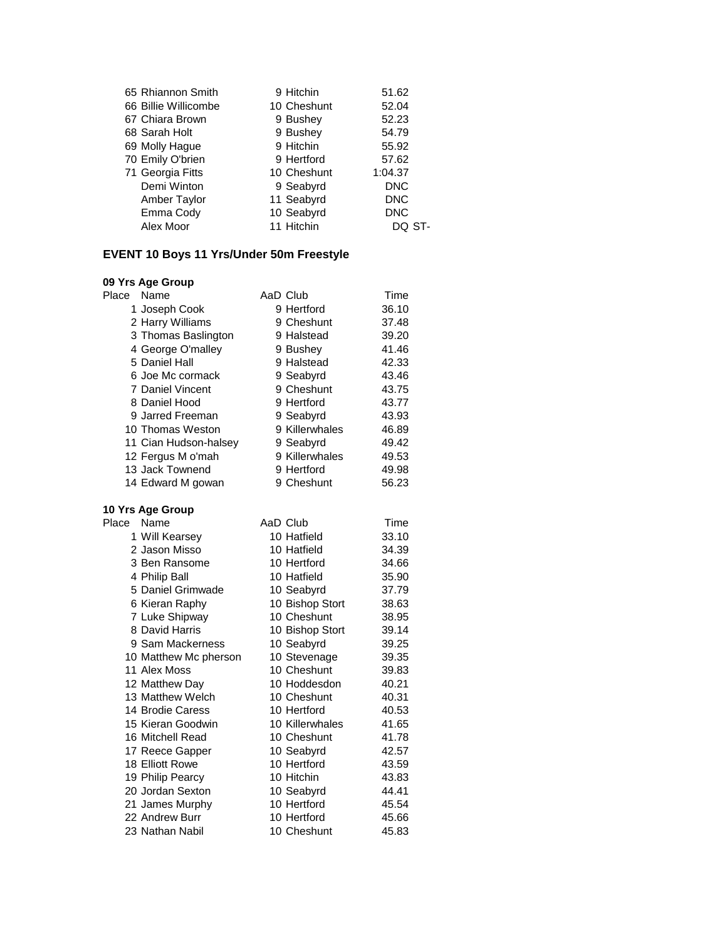| 65 Rhiannon Smith    | 9 Hitchin   | 51.62      |
|----------------------|-------------|------------|
| 66 Billie Willicombe | 10 Cheshunt | 52.04      |
| 67 Chiara Brown      | 9 Bushey    | 52.23      |
| 68 Sarah Holt        | 9 Bushey    | 54.79      |
| 69 Molly Hague       | 9 Hitchin   | 55.92      |
| 70 Emily O'brien     | 9 Hertford  | 57.62      |
| 71 Georgia Fitts     | 10 Cheshunt | 1:04.37    |
| Demi Winton          | 9 Seabyrd   | <b>DNC</b> |
| Amber Taylor         | 11 Seabyrd  | <b>DNC</b> |
| Emma Cody            | 10 Seabyrd  | <b>DNC</b> |
| Alex Moor            | 11 Hitchin  | DO ST-     |
|                      |             |            |

### **EVENT 10 Boys 11 Yrs/Under 50m Freestyle**

| Place | Name                  | AaD Club        | Time  |
|-------|-----------------------|-----------------|-------|
|       | 1 Joseph Cook         | 9 Hertford      | 36.10 |
|       | 2 Harry Williams      | 9 Cheshunt      | 37.48 |
|       | 3 Thomas Baslington   | 9 Halstead      | 39.20 |
|       | 4 George O'malley     | 9 Bushey        | 41.46 |
|       | 5 Daniel Hall         | 9 Halstead      | 42.33 |
|       | 6 Joe Mc cormack      | 9 Seabyrd       | 43.46 |
|       | 7 Daniel Vincent      | 9 Cheshunt      | 43.75 |
|       | 8 Daniel Hood         | 9 Hertford      | 43.77 |
|       | 9 Jarred Freeman      | 9 Seabyrd       | 43.93 |
|       | 10 Thomas Weston      | 9 Killerwhales  | 46.89 |
|       | 11 Cian Hudson-halsey | 9 Seabyrd       | 49.42 |
|       | 12 Fergus M o'mah     | 9 Killerwhales  | 49.53 |
|       | 13 Jack Townend       | 9 Hertford      | 49.98 |
|       | 14 Edward M gowan     | 9 Cheshunt      | 56.23 |
|       | 10 Yrs Age Group      |                 |       |
| Place | Name                  | AaD Club        | Time  |
|       | 1 Will Kearsey        | 10 Hatfield     | 33.10 |
|       | 2 Jason Misso         | 10 Hatfield     | 34.39 |
|       | 3 Ben Ransome         | 10 Hertford     | 34.66 |
|       | 4 Philip Ball         | 10 Hatfield     | 35.90 |
|       | 5 Daniel Grimwade     | 10 Seabyrd      | 37.79 |
|       | 6 Kieran Raphy        | 10 Bishop Stort | 38.63 |
|       | 7 Luke Shipway        | 10 Cheshunt     | 38.95 |
|       | 8 David Harris        | 10 Bishop Stort | 39.14 |
|       | 9 Sam Mackerness      | 10 Seabyrd      | 39.25 |
|       | 10 Matthew Mc pherson | 10 Stevenage    | 39.35 |
|       | 11 Alex Moss          | 10 Cheshunt     | 39.83 |
|       | 12 Matthew Day        | 10 Hoddesdon    | 40.21 |
|       | 13 Matthew Welch      | 10 Cheshunt     | 40.31 |
|       | 14 Brodie Caress      | 10 Hertford     | 40.53 |
|       | 15 Kieran Goodwin     | 10 Killerwhales | 41.65 |
|       | 16 Mitchell Read      | 10 Cheshunt     | 41.78 |
|       | 17 Reece Gapper       | 10 Seabyrd      | 42.57 |
|       | 18 Elliott Rowe       | 10 Hertford     | 43.59 |
|       | 19 Philip Pearcy      | 10 Hitchin      | 43.83 |
|       | 20 Jordan Sexton      | 10 Seabyrd      | 44.41 |
|       | 21 James Murphy       | 10 Hertford     | 45.54 |
|       | 22 Andrew Burr        | 10 Hertford     | 45.66 |
|       | 23 Nathan Nabil       | 10 Cheshunt     | 45.83 |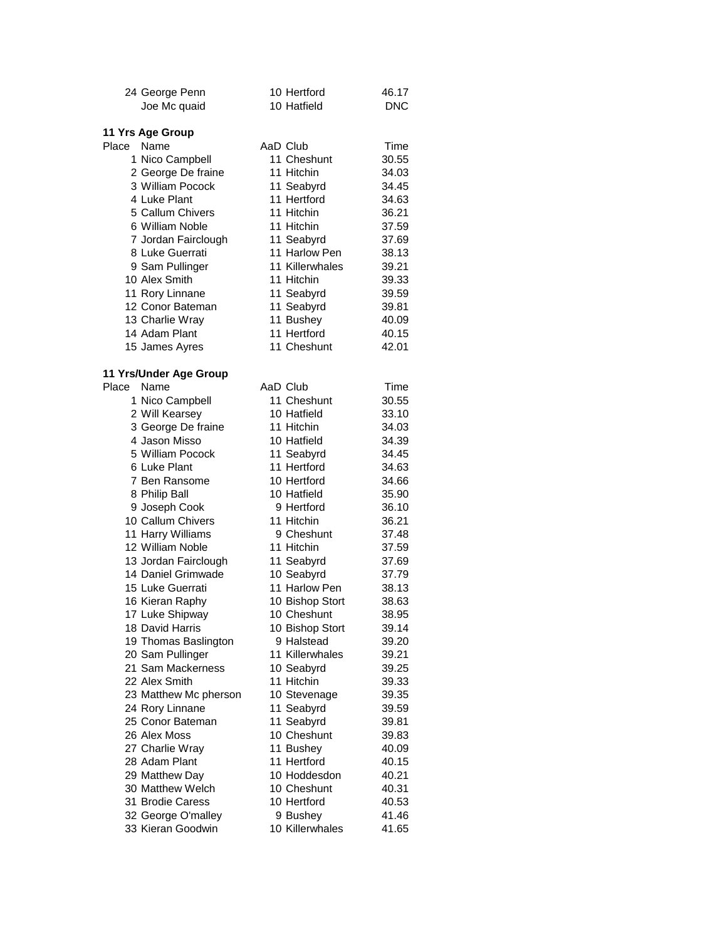|            | 24 George Penn                     | 10 Hertford              | 46.17          |
|------------|------------------------------------|--------------------------|----------------|
|            | Joe Mc quaid                       | 10 Hatfield              | <b>DNC</b>     |
|            | 11 Yrs Age Group                   |                          |                |
| Place Name |                                    | AaD Club                 | Time           |
|            | 1 Nico Campbell                    | 11 Cheshunt              | 30.55          |
|            | 2 George De fraine                 | 11 Hitchin               | 34.03          |
|            | 3 William Pocock                   | 11 Seabyrd               | 34.45          |
|            | 4 Luke Plant                       | 11 Hertford              | 34.63          |
|            | 5 Callum Chivers                   | 11 Hitchin               | 36.21          |
|            | 6 William Noble                    | 11 Hitchin               | 37.59          |
|            | 7 Jordan Fairclough                | 11 Seabyrd               | 37.69          |
|            | 8 Luke Guerrati                    | 11 Harlow Pen            | 38.13          |
|            | 9 Sam Pullinger                    | 11 Killerwhales          | 39.21          |
|            | 10 Alex Smith                      | 11 Hitchin               | 39.33          |
|            | 11 Rory Linnane                    | 11 Seabyrd               | 39.59          |
|            | 12 Conor Bateman                   | 11 Seabyrd               | 39.81          |
|            | 13 Charlie Wray                    | 11 Bushey                | 40.09          |
|            | 14 Adam Plant                      | 11 Hertford              | 40.15          |
|            | 15 James Ayres                     | 11 Cheshunt              | 42.01          |
|            |                                    |                          |                |
|            | 11 Yrs/Under Age Group             |                          |                |
| Place Name |                                    | AaD Club                 | Time           |
|            | 1 Nico Campbell                    | 11 Cheshunt              | 30.55          |
|            | 2 Will Kearsey                     | 10 Hatfield              | 33.10          |
|            | 3 George De fraine                 | 11 Hitchin               | 34.03          |
|            | 4 Jason Misso                      | 10 Hatfield              | 34.39          |
|            | 5 William Pocock                   | 11 Seabyrd               | 34.45          |
|            | 6 Luke Plant                       | 11 Hertford              | 34.63          |
|            | 7 Ben Ransome                      | 10 Hertford              | 34.66          |
|            | 8 Philip Ball                      | 10 Hatfield              | 35.90          |
|            | 9 Joseph Cook                      | 9 Hertford               | 36.10          |
|            | 10 Callum Chivers                  | 11 Hitchin               | 36.21          |
|            | 11 Harry Williams                  | 9 Cheshunt               | 37.48          |
|            | 12 William Noble                   | 11 Hitchin               | 37.59          |
|            | 13 Jordan Fairclough               | 11 Seabyrd               | 37.69          |
|            | 14 Daniel Grimwade                 | 10 Seabyrd               | 37.79          |
|            | 15 Luke Guerrati                   | 11 Harlow Pen            | 38.13          |
|            | 16 Kieran Raphy                    | 10 Bishop Stort          | 38.63          |
|            | 17 Luke Shipway                    | 10 Cheshunt              | 38.95          |
|            | 18 David Harris                    | 10 Bishop Stort          | 39.14          |
|            | 19 Thomas Baslington               | 9 Halstead               | 39.20          |
|            | 20 Sam Pullinger                   | 11 Killerwhales          | 39.21          |
|            | 21 Sam Mackerness                  | 10 Seabyrd               | 39.25          |
|            | 22 Alex Smith                      | 11 Hitchin               | 39.33          |
|            | 23 Matthew Mc pherson              | 10 Stevenage             | 39.35          |
|            | 24 Rory Linnane                    | 11 Seabyrd               | 39.59          |
|            | 25 Conor Bateman                   | 11 Seabyrd               | 39.81          |
|            | 26 Alex Moss                       | 10 Cheshunt              | 39.83          |
|            | 27 Charlie Wray<br>28 Adam Plant   | 11 Bushey<br>11 Hertford | 40.09<br>40.15 |
|            |                                    | 10 Hoddesdon             |                |
|            | 29 Matthew Day<br>30 Matthew Welch | 10 Cheshunt              | 40.21<br>40.31 |
|            | 31 Brodie Caress                   | 10 Hertford              |                |
|            | 32 George O'malley                 | 9 Bushey                 | 40.53<br>41.46 |
|            | 33 Kieran Goodwin                  | 10 Killerwhales          | 41.65          |
|            |                                    |                          |                |